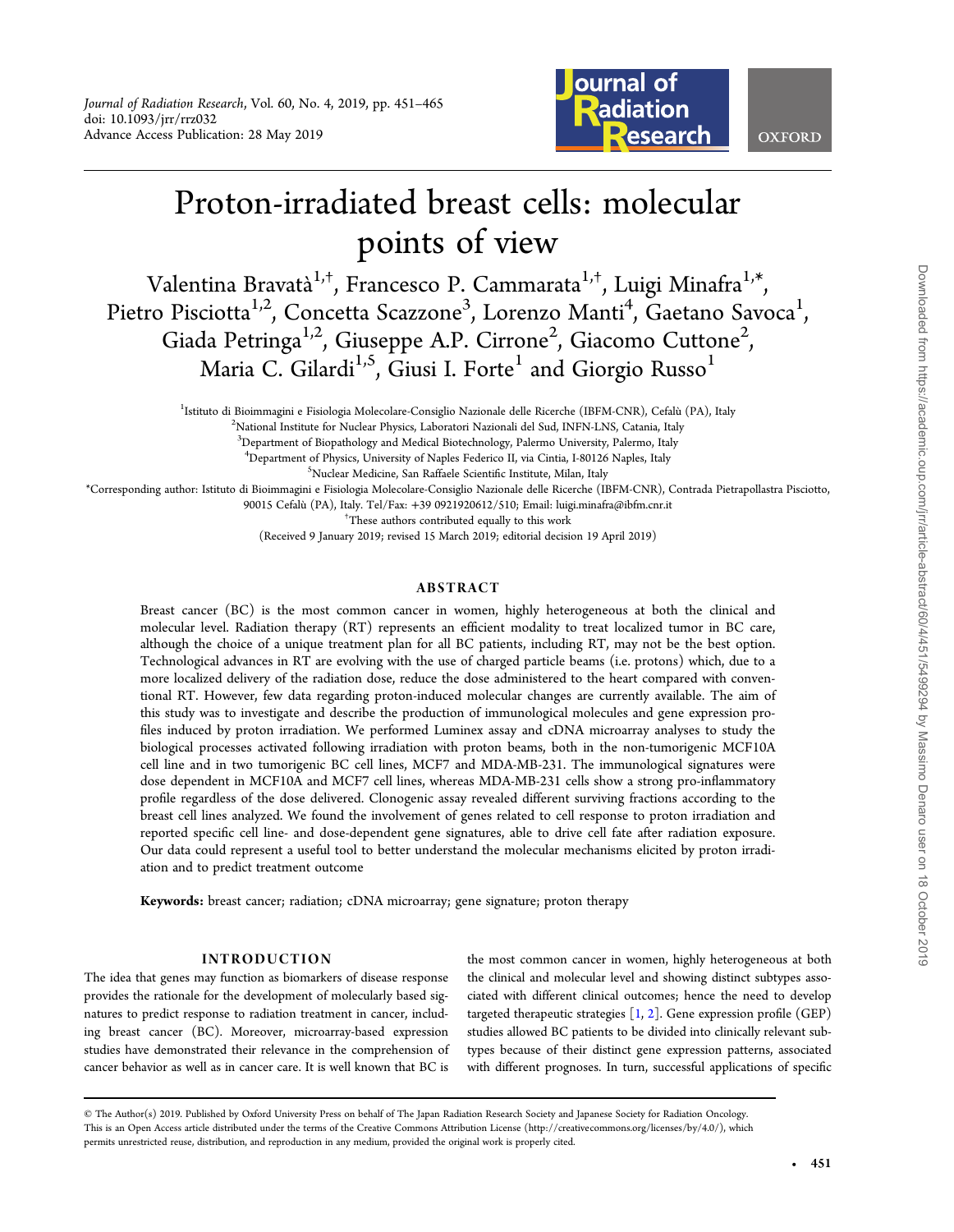

# Proton-irradiated breast cells: molecular points of view

Valentina Bravatà<sup>1,†</sup>, Francesco P. Cammarata<sup>1,†</sup>, Luigi Minafra<sup>1,\*</sup> , Pietro Pisciotta<sup>1,2</sup>, Concetta Scazzone<sup>3</sup>, Lorenzo Manti<sup>4</sup>, Gaetano Savoca<sup>1</sup> , Giada Petringa<sup>1,2</sup>, Giuseppe A.P. Cirrone<sup>2</sup>, Giacomo Cuttone<sup>2</sup> , Maria C. Gilardi<sup>1,5</sup>, Giusi I. Forte<sup>1</sup> and Giorgio Russo<sup>1</sup>

<sup>1</sup>Istituto di Bioimmagini e Fisiologia Molecolare-Consiglio Nazionale delle Ricerche (IBFM-CNR), Cefalù (PA), Italy <sup>2</sup>National Institute for Nuclear Physics I abaratori Nazionali del Sud INFN I NS Catania Italy

<sup>2</sup>National Institute for Nuclear Physics, Laboratori Nazionali del Sud, INFN-LNS, Catania, Italy

3 Department of Biopathology and Medical Biotechnology, Palermo University, Palermo, Italy

<sup>4</sup> Department of Physics, University of Naples Federico II, via Cintia, I-80126 Naples, Italy 5 Shuclear Medicine, San Baffaele Scientific Institute, Milan, Italy

Nuclear Medicine, San Raffaele Scientific Institute, Milan, Italy

\*Corresponding author: Istituto di Bioimmagini e Fisiologia Molecolare-Consiglio Nazionale delle Ricerche (IBFM-CNR), Contrada Pietrapollastra Pisciotto,

90015 Cefalù (PA), Italy. Tel/Fax: <sup>+</sup>39 0921920612/510; Email: luigi.minafra@ibfm.cnr.it †

These authors contributed equally to this work

(Received 9 January 2019; revised 15 March 2019; editorial decision 19 April 2019)

## ABSTRACT

Breast cancer (BC) is the most common cancer in women, highly heterogeneous at both the clinical and molecular level. Radiation therapy (RT) represents an efficient modality to treat localized tumor in BC care, although the choice of a unique treatment plan for all BC patients, including RT, may not be the best option. Technological advances in RT are evolving with the use of charged particle beams (i.e. protons) which, due to a more localized delivery of the radiation dose, reduce the dose administered to the heart compared with conventional RT. However, few data regarding proton-induced molecular changes are currently available. The aim of this study was to investigate and describe the production of immunological molecules and gene expression profiles induced by proton irradiation. We performed Luminex assay and cDNA microarray analyses to study the biological processes activated following irradiation with proton beams, both in the non-tumorigenic MCF10A cell line and in two tumorigenic BC cell lines, MCF7 and MDA-MB-231. The immunological signatures were dose dependent in MCF10A and MCF7 cell lines, whereas MDA-MB-231 cells show a strong pro-inflammatory profile regardless of the dose delivered. Clonogenic assay revealed different surviving fractions according to the breast cell lines analyzed. We found the involvement of genes related to cell response to proton irradiation and reported specific cell line- and dose-dependent gene signatures, able to drive cell fate after radiation exposure. Our data could represent a useful tool to better understand the molecular mechanisms elicited by proton irradiation and to predict treatment outcome

Keywords: breast cancer; radiation; cDNA microarray; gene signature; proton therapy

## INTRODUCTION

The idea that genes may function as biomarkers of disease response provides the rationale for the development of molecularly based signatures to predict response to radiation treatment in cancer, including breast cancer (BC). Moreover, microarray-based expression studies have demonstrated their relevance in the comprehension of cancer behavior as well as in cancer care. It is well known that BC is

the most common cancer in women, highly heterogeneous at both the clinical and molecular level and showing distinct subtypes associated with different clinical outcomes; hence the need to develop targeted therapeutic strategies  $[1, 2]$  $[1, 2]$  $[1, 2]$  $[1, 2]$  $[1, 2]$ . Gene expression profile (GEP) studies allowed BC patients to be divided into clinically relevant subtypes because of their distinct gene expression patterns, associated with different prognoses. In turn, successful applications of specific

<sup>©</sup> The Author(s) 2019. Published by Oxford University Press on behalf of The Japan Radiation Research Society and Japanese Society for Radiation Oncology. This is an Open Access article distributed under the terms of the Creative Commons Attribution License [\(http://creativecommons.org/licenses/by/4.0/\)](http://creativecommons.org/licenses/by/4.0/), which permits unrestricted reuse, distribution, and reproduction in any medium, provided the original work is properly cited.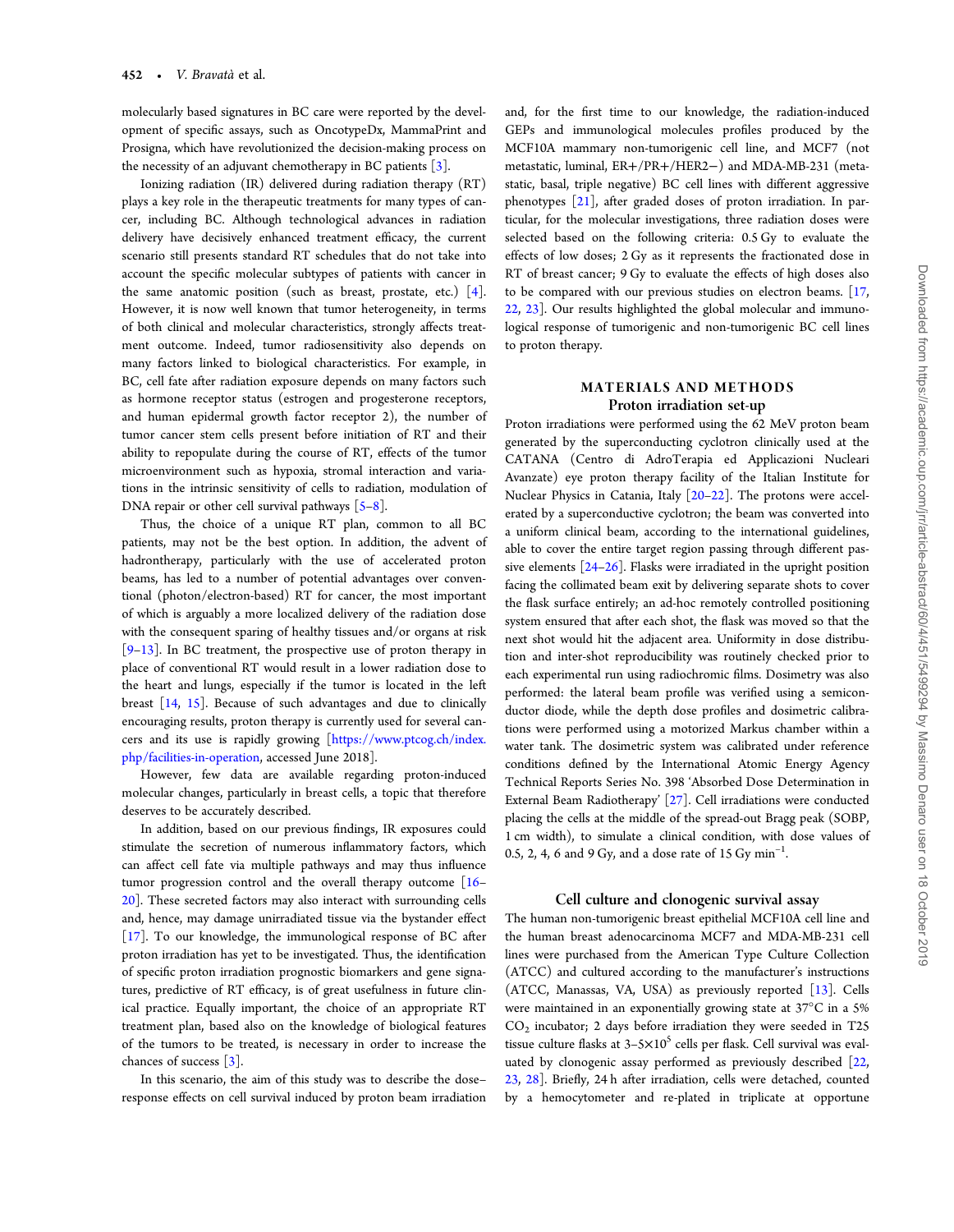molecularly based signatures in BC care were reported by the development of specific assays, such as OncotypeDx, MammaPrint and Prosigna, which have revolutionized the decision-making process on the necessity of an adjuvant chemotherapy in BC patients  $\lceil 3 \rceil$  $\lceil 3 \rceil$  $\lceil 3 \rceil$ .

Ionizing radiation (IR) delivered during radiation therapy (RT) plays a key role in the therapeutic treatments for many types of cancer, including BC. Although technological advances in radiation delivery have decisively enhanced treatment efficacy, the current scenario still presents standard RT schedules that do not take into account the specific molecular subtypes of patients with cancer in the same anatomic position (such as breast, prostate, etc.) [[4](#page-13-0)]. However, it is now well known that tumor heterogeneity, in terms of both clinical and molecular characteristics, strongly affects treatment outcome. Indeed, tumor radiosensitivity also depends on many factors linked to biological characteristics. For example, in BC, cell fate after radiation exposure depends on many factors such as hormone receptor status (estrogen and progesterone receptors, and human epidermal growth factor receptor 2), the number of tumor cancer stem cells present before initiation of RT and their ability to repopulate during the course of RT, effects of the tumor microenvironment such as hypoxia, stromal interaction and variations in the intrinsic sensitivity of cells to radiation, modulation of DNA repair or other cell survival pathways  $[5-8]$  $[5-8]$  $[5-8]$  $[5-8]$ .

Thus, the choice of a unique RT plan, common to all BC patients, may not be the best option. In addition, the advent of hadrontherapy, particularly with the use of accelerated proton beams, has led to a number of potential advantages over conventional (photon/electron-based) RT for cancer, the most important of which is arguably a more localized delivery of the radiation dose with the consequent sparing of healthy tissues and/or organs at risk [[9](#page-13-0)–[13\]](#page-13-0). In BC treatment, the prospective use of proton therapy in place of conventional RT would result in a lower radiation dose to the heart and lungs, especially if the tumor is located in the left breast [[14](#page-13-0), [15](#page-13-0)]. Because of such advantages and due to clinically encouraging results, proton therapy is currently used for several cancers and its use is rapidly growing [\[https://www.ptcog.ch/index.](https://www.ptcog.ch/index.php/facilities-in-operation) [php/facilities-in-operation,](https://www.ptcog.ch/index.php/facilities-in-operation) accessed June 2018].

However, few data are available regarding proton-induced molecular changes, particularly in breast cells, a topic that therefore deserves to be accurately described.

In addition, based on our previous findings, IR exposures could stimulate the secretion of numerous inflammatory factors, which can affect cell fate via multiple pathways and may thus influence tumor progression control and the overall therapy outcome [\[16](#page-13-0)– [20\]](#page-13-0). These secreted factors may also interact with surrounding cells and, hence, may damage unirradiated tissue via the bystander effect [[17](#page-13-0)]. To our knowledge, the immunological response of BC after proton irradiation has yet to be investigated. Thus, the identification of specific proton irradiation prognostic biomarkers and gene signatures, predictive of RT efficacy, is of great usefulness in future clinical practice. Equally important, the choice of an appropriate RT treatment plan, based also on the knowledge of biological features of the tumors to be treated, is necessary in order to increase the chances of success [[3](#page-13-0)].

In this scenario, the aim of this study was to describe the dose– response effects on cell survival induced by proton beam irradiation

and, for the first time to our knowledge, the radiation-induced GEPs and immunological molecules profiles produced by the MCF10A mammary non-tumorigenic cell line, and MCF7 (not metastatic, luminal, ER+/PR+/HER2−) and MDA-MB-231 (metastatic, basal, triple negative) BC cell lines with different aggressive phenotypes [[21\]](#page-13-0), after graded doses of proton irradiation. In particular, for the molecular investigations, three radiation doses were selected based on the following criteria: 0.5 Gy to evaluate the effects of low doses; 2 Gy as it represents the fractionated dose in RT of breast cancer; 9 Gy to evaluate the effects of high doses also to be compared with our previous studies on electron beams. [\[17](#page-13-0), [22,](#page-13-0) [23](#page-13-0)]. Our results highlighted the global molecular and immunological response of tumorigenic and non-tumorigenic BC cell lines to proton therapy.

## MATERIALS AND METHODS Proton irradiation set-up

Proton irradiations were performed using the 62 MeV proton beam generated by the superconducting cyclotron clinically used at the CATANA (Centro di AdroTerapia ed Applicazioni Nucleari Avanzate) eye proton therapy facility of the Italian Institute for Nuclear Physics in Catania, Italy [[20](#page-13-0)–[22](#page-13-0)]. The protons were accelerated by a superconductive cyclotron; the beam was converted into a uniform clinical beam, according to the international guidelines, able to cover the entire target region passing through different passive elements  $[24-26]$  $[24-26]$  $[24-26]$  $[24-26]$ . Flasks were irradiated in the upright position facing the collimated beam exit by delivering separate shots to cover the flask surface entirely; an ad-hoc remotely controlled positioning system ensured that after each shot, the flask was moved so that the next shot would hit the adjacent area. Uniformity in dose distribution and inter-shot reproducibility was routinely checked prior to each experimental run using radiochromic films. Dosimetry was also performed: the lateral beam profile was verified using a semiconductor diode, while the depth dose profiles and dosimetric calibrations were performed using a motorized Markus chamber within a water tank. The dosimetric system was calibrated under reference conditions defined by the International Atomic Energy Agency Technical Reports Series No. 398 'Absorbed Dose Determination in External Beam Radiotherapy' [\[27\]](#page-14-0). Cell irradiations were conducted placing the cells at the middle of the spread-out Bragg peak (SOBP, 1 cm width), to simulate a clinical condition, with dose values of 0.5, 2, 4, 6 and 9 Gy, and a dose rate of 15 Gy  $min^{-1}$ . .

## Cell culture and clonogenic survival assay

The human non-tumorigenic breast epithelial MCF10A cell line and the human breast adenocarcinoma MCF7 and MDA-MB-231 cell lines were purchased from the American Type Culture Collection (ATCC) and cultured according to the manufacturer's instructions (ATCC, Manassas, VA, USA) as previously reported [\[13\]](#page-13-0). Cells were maintained in an exponentially growing state at 37°C in a 5%  $CO<sub>2</sub>$  incubator; 2 days before irradiation they were seeded in T25 tissue culture flasks at  $3-5\times10^5$  cells per flask. Cell survival was evaluated by clonogenic assay performed as previously described [\[22](#page-13-0), [23,](#page-13-0) [28](#page-14-0)]. Briefly, 24 h after irradiation, cells were detached, counted by a hemocytometer and re-plated in triplicate at opportune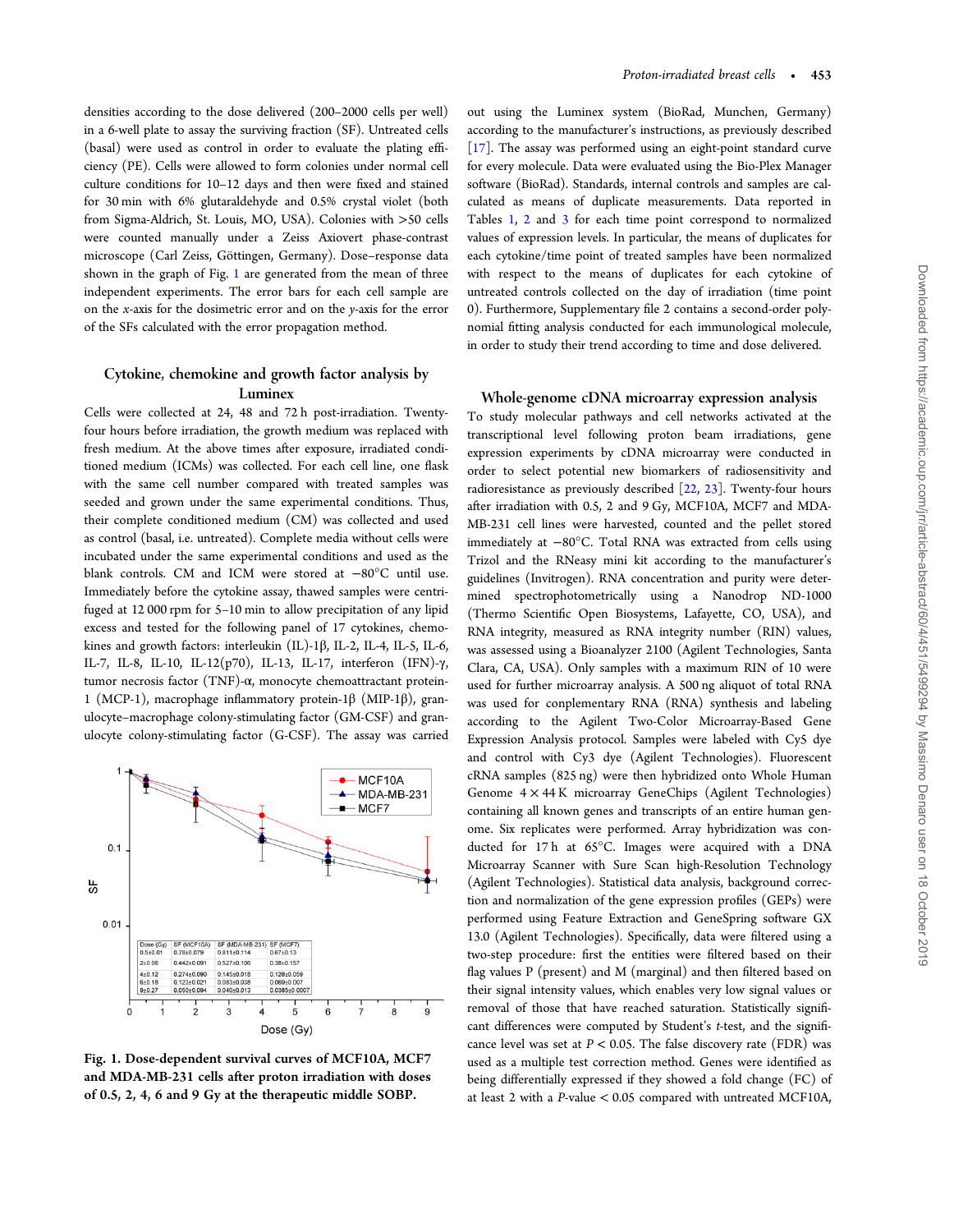<span id="page-2-0"></span>densities according to the dose delivered (200–2000 cells per well) in a 6-well plate to assay the surviving fraction (SF). Untreated cells (basal) were used as control in order to evaluate the plating efficiency (PE). Cells were allowed to form colonies under normal cell culture conditions for 10–12 days and then were fixed and stained for 30 min with 6% glutaraldehyde and 0.5% crystal violet (both from Sigma-Aldrich, St. Louis, MO, USA). Colonies with >50 cells were counted manually under a Zeiss Axiovert phase-contrast microscope (Carl Zeiss, Göttingen, Germany). Dose–response data shown in the graph of Fig. 1 are generated from the mean of three independent experiments. The error bars for each cell sample are on the x-axis for the dosimetric error and on the y-axis for the error of the SFs calculated with the error propagation method.

# Cytokine, chemokine and growth factor analysis by Luminex

Cells were collected at 24, 48 and 72 h post-irradiation. Twentyfour hours before irradiation, the growth medium was replaced with fresh medium. At the above times after exposure, irradiated conditioned medium (ICMs) was collected. For each cell line, one flask with the same cell number compared with treated samples was seeded and grown under the same experimental conditions. Thus, their complete conditioned medium (CM) was collected and used as control (basal, i.e. untreated). Complete media without cells were incubated under the same experimental conditions and used as the blank controls. CM and ICM were stored at −80°C until use. Immediately before the cytokine assay, thawed samples were centrifuged at 12 000 rpm for 5–10 min to allow precipitation of any lipid excess and tested for the following panel of 17 cytokines, chemokines and growth factors: interleukin (IL)-1β, IL-2, IL-4, IL-5, IL-6, IL-7, IL-8, IL-10, IL-12(p70), IL-13, IL-17, interferon (IFN)-γ, tumor necrosis factor (TNF)-α, monocyte chemoattractant protein-1 (MCP-1), macrophage inflammatory protein-1β (MIP-1β), granulocyte–macrophage colony-stimulating factor (GM-CSF) and granulocyte colony-stimulating factor (G-CSF). The assay was carried



Fig. 1. Dose-dependent survival curves of MCF10A, MCF7 and MDA-MB-231 cells after proton irradiation with doses of 0.5, 2, 4, 6 and 9 Gy at the therapeutic middle SOBP.

out using the Luminex system (BioRad, Munchen, Germany) according to the manufacturer's instructions, as previously described [\[17\]](#page-13-0). The assay was performed using an eight-point standard curve for every molecule. Data were evaluated using the Bio-Plex Manager software (BioRad). Standards, internal controls and samples are calculated as means of duplicate measurements. Data reported in Tables [1,](#page-3-0) [2](#page-3-0) and [3](#page-4-0) for each time point correspond to normalized values of expression levels. In particular, the means of duplicates for each cytokine/time point of treated samples have been normalized with respect to the means of duplicates for each cytokine of untreated controls collected on the day of irradiation (time point 0). Furthermore, Supplementary file 2 contains a second-order polynomial fitting analysis conducted for each immunological molecule, in order to study their trend according to time and dose delivered.

## Whole-genome cDNA microarray expression analysis

To study molecular pathways and cell networks activated at the transcriptional level following proton beam irradiations, gene expression experiments by cDNA microarray were conducted in order to select potential new biomarkers of radiosensitivity and radioresistance as previously described [\[22,](#page-13-0) [23\]](#page-13-0). Twenty-four hours after irradiation with 0.5, 2 and 9 Gy, MCF10A, MCF7 and MDA-MB-231 cell lines were harvested, counted and the pellet stored immediately at −80°C. Total RNA was extracted from cells using Trizol and the RNeasy mini kit according to the manufacturer's guidelines (Invitrogen). RNA concentration and purity were determined spectrophotometrically using a Nanodrop ND-1000 (Thermo Scientific Open Biosystems, Lafayette, CO, USA), and RNA integrity, measured as RNA integrity number (RIN) values, was assessed using a Bioanalyzer 2100 (Agilent Technologies, Santa Clara, CA, USA). Only samples with a maximum RIN of 10 were used for further microarray analysis. A 500 ng aliquot of total RNA was used for conplementary RNA (RNA) synthesis and labeling according to the Agilent Two-Color Microarray-Based Gene Expression Analysis protocol. Samples were labeled with Cy5 dye and control with Cy3 dye (Agilent Technologies). Fluorescent cRNA samples (825 ng) were then hybridized onto Whole Human Genome 4 × 44 K microarray GeneChips (Agilent Technologies) containing all known genes and transcripts of an entire human genome. Six replicates were performed. Array hybridization was conducted for 17 h at 65°C. Images were acquired with a DNA Microarray Scanner with Sure Scan high-Resolution Technology (Agilent Technologies). Statistical data analysis, background correction and normalization of the gene expression profiles (GEPs) were performed using Feature Extraction and GeneSpring software GX 13.0 (Agilent Technologies). Specifically, data were filtered using a two-step procedure: first the entities were filtered based on their flag values P (present) and M (marginal) and then filtered based on their signal intensity values, which enables very low signal values or removal of those that have reached saturation. Statistically significant differences were computed by Student's t-test, and the significance level was set at  $P < 0.05$ . The false discovery rate (FDR) was used as a multiple test correction method. Genes were identified as being differentially expressed if they showed a fold change (FC) of at least 2 with a P-value < 0.05 compared with untreated MCF10A,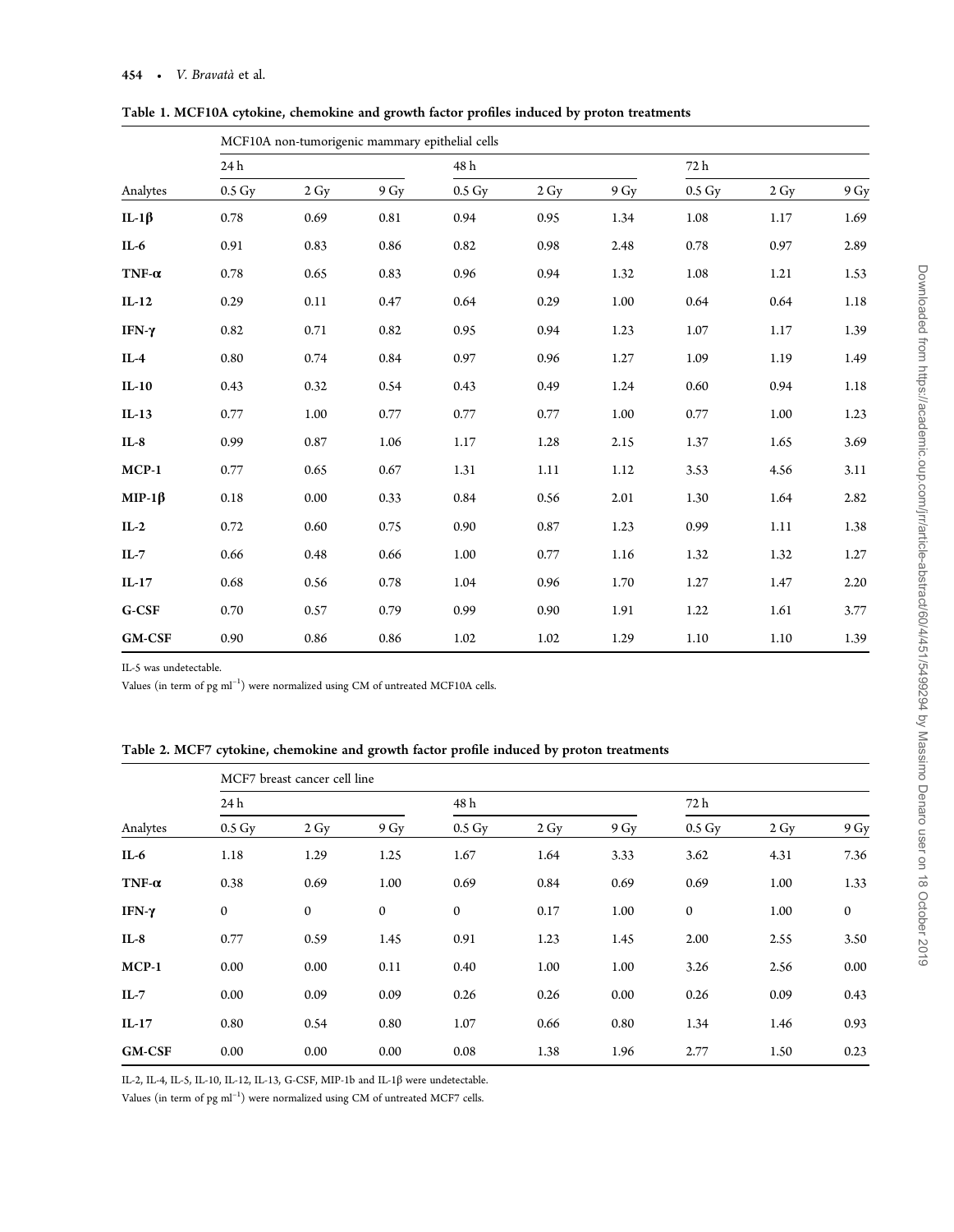|               |                    |      |      | MCF10A non-tumorigenic mammary epithelial cells |      |                |        |      |      |
|---------------|--------------------|------|------|-------------------------------------------------|------|----------------|--------|------|------|
| Analytes      | 24 h               |      |      | 48 h                                            |      |                | 72 h   |      |      |
|               | $0.5\,\mathrm{Gy}$ | 2 Gy | 9 Gy | $0.5\,\mathrm{Gy}$                              | 2 Gy | 9 <sub>Y</sub> | 0.5 Gy | 2 Gy | 9 Gy |
| IL-1 $\beta$  | 0.78               | 0.69 | 0.81 | 0.94                                            | 0.95 | 1.34           | 1.08   | 1.17 | 1.69 |
| $IL-6$        | 0.91               | 0.83 | 0.86 | 0.82                                            | 0.98 | 2.48           | 0.78   | 0.97 | 2.89 |
| TNF- $\alpha$ | 0.78               | 0.65 | 0.83 | 0.96                                            | 0.94 | 1.32           | 1.08   | 1.21 | 1.53 |
| $IL-12$       | 0.29               | 0.11 | 0.47 | 0.64                                            | 0.29 | 1.00           | 0.64   | 0.64 | 1.18 |
| IFN-γ         | 0.82               | 0.71 | 0.82 | 0.95                                            | 0.94 | 1.23           | 1.07   | 1.17 | 1.39 |
| $IL-4$        | 0.80               | 0.74 | 0.84 | 0.97                                            | 0.96 | 1.27           | 1.09   | 1.19 | 1.49 |
| $IL-10$       | 0.43               | 0.32 | 0.54 | 0.43                                            | 0.49 | 1.24           | 0.60   | 0.94 | 1.18 |
| $IL-13$       | 0.77               | 1.00 | 0.77 | 0.77                                            | 0.77 | 1.00           | 0.77   | 1.00 | 1.23 |
| $IL-8$        | 0.99               | 0.87 | 1.06 | 1.17                                            | 1.28 | 2.15           | 1.37   | 1.65 | 3.69 |
| $MCP-1$       | 0.77               | 0.65 | 0.67 | 1.31                                            | 1.11 | 1.12           | 3.53   | 4.56 | 3.11 |
| $MIP-1\beta$  | 0.18               | 0.00 | 0.33 | 0.84                                            | 0.56 | 2.01           | 1.30   | 1.64 | 2.82 |
| $IL-2$        | 0.72               | 0.60 | 0.75 | 0.90                                            | 0.87 | 1.23           | 0.99   | 1.11 | 1.38 |
| $IL-7$        | 0.66               | 0.48 | 0.66 | 1.00                                            | 0.77 | 1.16           | 1.32   | 1.32 | 1.27 |
| $IL-17$       | 0.68               | 0.56 | 0.78 | 1.04                                            | 0.96 | 1.70           | 1.27   | 1.47 | 2.20 |
| G-CSF         | 0.70               | 0.57 | 0.79 | 0.99                                            | 0.90 | 1.91           | 1.22   | 1.61 | 3.77 |
| <b>GM-CSF</b> | 0.90               | 0.86 | 0.86 | 1.02                                            | 1.02 | 1.29           | 1.10   | 1.10 | 1.39 |

<span id="page-3-0"></span>Table 1. MCF10A cytokine, chemokine and growth factor profiles induced by proton treatments

IL-5 was undetectable.

Values (in term of pg ml<sup>-1</sup>) were normalized using CM of untreated MCF10A cells.

| Table 2. MCF7 cytokine, chemokine and growth factor profile induced by proton treatments |  |  |  |  |
|------------------------------------------------------------------------------------------|--|--|--|--|
|                                                                                          |  |  |  |  |

|               | MCF7 breast cancer cell line |              |              |                    |                |      |                    |                |                  |  |  |  |
|---------------|------------------------------|--------------|--------------|--------------------|----------------|------|--------------------|----------------|------------------|--|--|--|
|               | 24 h                         |              |              | 48 h               |                |      |                    | 72 h           |                  |  |  |  |
| Analytes      | $0.5\,\mathrm{Gy}$           | 2 Gy         | 9 Gy         | $0.5\,\mathrm{Gy}$ | $2 \text{ Gy}$ | 9 Gy | $0.5\,\mathrm{Gy}$ | $2 \text{ Gy}$ | 9 Gy             |  |  |  |
| $IL-6$        | 1.18                         | 1.29         | 1.25         | 1.67               | 1.64           | 3.33 | 3.62               | 4.31           | 7.36             |  |  |  |
| TNF- $\alpha$ | 0.38                         | 0.69         | 1.00         | 0.69               | 0.84           | 0.69 | 0.69               | 1.00           | 1.33             |  |  |  |
| IFN-γ         | $\mathbf{0}$                 | $\mathbf{0}$ | $\mathbf{0}$ | $\mathbf{0}$       | 0.17           | 1.00 | $\mathbf{0}$       | 1.00           | $\boldsymbol{0}$ |  |  |  |
| $IL-8$        | 0.77                         | 0.59         | 1.45         | 0.91               | 1.23           | 1.45 | 2.00               | 2.55           | 3.50             |  |  |  |
| $MCP-1$       | 0.00                         | 0.00         | 0.11         | 0.40               | 1.00           | 1.00 | 3.26               | 2.56           | 0.00             |  |  |  |
| $IL-7$        | 0.00                         | 0.09         | 0.09         | 0.26               | 0.26           | 0.00 | 0.26               | 0.09           | 0.43             |  |  |  |
| $IL-17$       | 0.80                         | 0.54         | 0.80         | 1.07               | 0.66           | 0.80 | 1.34               | 1.46           | 0.93             |  |  |  |
| <b>GM-CSF</b> | 0.00                         | 0.00         | 0.00         | 0.08               | 1.38           | 1.96 | 2.77               | 1.50           | 0.23             |  |  |  |

IL-2, IL-4, IL-5, IL-10, IL-12, IL-13, G-CSF, MIP-1b and IL-1β were undetectable.

Values (in term of pg ml<sup>-1</sup>) were normalized using CM of untreated MCF7 cells.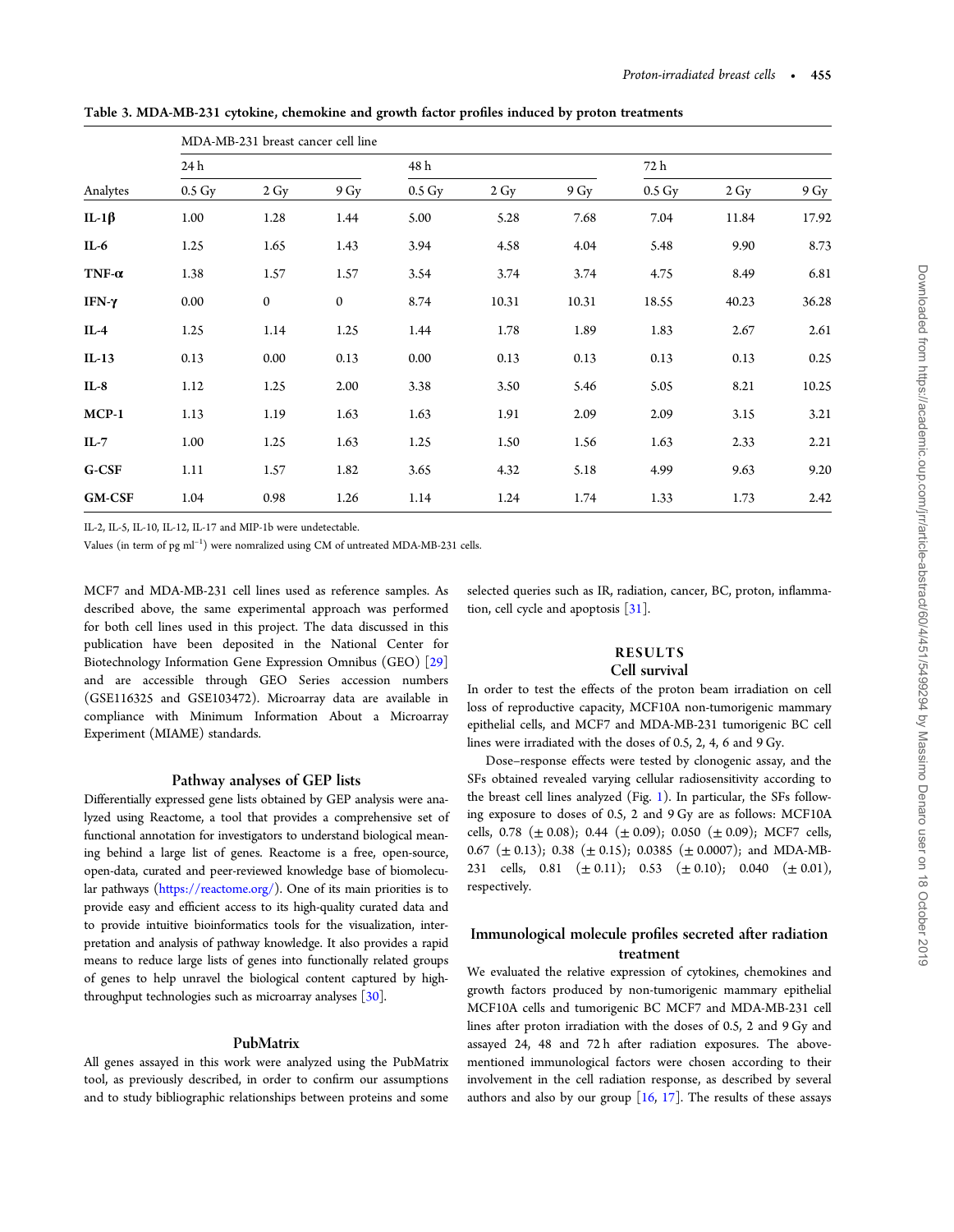|               |                    | MDA-MB-231 breast cancer cell line |                |                    |                   |       |                    |                |       |  |  |  |
|---------------|--------------------|------------------------------------|----------------|--------------------|-------------------|-------|--------------------|----------------|-------|--|--|--|
|               | 24 h               |                                    |                |                    | 48 h              |       |                    | 72 h           |       |  |  |  |
| Analytes      | $0.5\,\mathrm{Gy}$ | $2 \text{ Gy}$                     | 9 <sub>Y</sub> | $0.5\,\mathrm{Gy}$ | $2 \,\mathrm{Gy}$ | 9 Gy  | $0.5\,\mathrm{Gy}$ | $2 \text{ Gy}$ | 9 Gy  |  |  |  |
| IL-1 $\beta$  | 1.00               | 1.28                               | 1.44           | 5.00               | 5.28              | 7.68  | 7.04               | 11.84          | 17.92 |  |  |  |
| IL-6          | 1.25               | 1.65                               | 1.43           | 3.94               | 4.58              | 4.04  | 5.48               | 9.90           | 8.73  |  |  |  |
| TNF- $\alpha$ | 1.38               | 1.57                               | 1.57           | 3.54               | 3.74              | 3.74  | 4.75               | 8.49           | 6.81  |  |  |  |
| IFN-γ         | 0.00               | $\mathbf 0$                        | $\mathbf{0}$   | 8.74               | 10.31             | 10.31 | 18.55              | 40.23          | 36.28 |  |  |  |
| $IL-4$        | 1.25               | 1.14                               | 1.25           | 1.44               | 1.78              | 1.89  | 1.83               | 2.67           | 2.61  |  |  |  |
| $IL-13$       | 0.13               | 0.00                               | 0.13           | 0.00               | 0.13              | 0.13  | 0.13               | 0.13           | 0.25  |  |  |  |
| $IL-8$        | 1.12               | 1.25                               | 2.00           | 3.38               | 3.50              | 5.46  | 5.05               | 8.21           | 10.25 |  |  |  |
| $MCP-1$       | 1.13               | 1.19                               | 1.63           | 1.63               | 1.91              | 2.09  | 2.09               | 3.15           | 3.21  |  |  |  |
| $IL-7$        | 1.00               | 1.25                               | 1.63           | 1.25               | 1.50              | 1.56  | 1.63               | 2.33           | 2.21  |  |  |  |
| G-CSF         | 1.11               | 1.57                               | 1.82           | 3.65               | 4.32              | 5.18  | 4.99               | 9.63           | 9.20  |  |  |  |
| <b>GM-CSF</b> | 1.04               | 0.98                               | 1.26           | 1.14               | 1.24              | 1.74  | 1.33               | 1.73           | 2.42  |  |  |  |

<span id="page-4-0"></span>Table 3. MDA-MB-231 cytokine, chemokine and growth factor profiles induced by proton treatments

IL-2, IL-5, IL-10, IL-12, IL-17 and MIP-1b were undetectable.

Values (in term of  $pg \text{ ml}^{-1}$ ) were nomralized using CM of untreated MDA-MB-231 cells.

MCF7 and MDA-MB-231 cell lines used as reference samples. As described above, the same experimental approach was performed for both cell lines used in this project. The data discussed in this publication have been deposited in the National Center for Biotechnology Information Gene Expression Omnibus (GEO) [\[29\]](#page-14-0) and are accessible through GEO Series accession numbers (GSE116325 and GSE103472). Microarray data are available in compliance with Minimum Information About a Microarray Experiment (MIAME) standards.

## Pathway analyses of GEP lists

Differentially expressed gene lists obtained by GEP analysis were analyzed using Reactome, a tool that provides a comprehensive set of functional annotation for investigators to understand biological meaning behind a large list of genes. Reactome is a free, open-source, open-data, curated and peer-reviewed knowledge base of biomolecular pathways [\(https://reactome.org/](https://reactome.org/)). One of its main priorities is to provide easy and efficient access to its high-quality curated data and to provide intuitive bioinformatics tools for the visualization, interpretation and analysis of pathway knowledge. It also provides a rapid means to reduce large lists of genes into functionally related groups of genes to help unravel the biological content captured by highthroughput technologies such as microarray analyses [\[30](#page-14-0)].

## PubMatrix

All genes assayed in this work were analyzed using the PubMatrix tool, as previously described, in order to confirm our assumptions and to study bibliographic relationships between proteins and some

selected queries such as IR, radiation, cancer, BC, proton, inflammation, cell cycle and apoptosis [\[31](#page-14-0)].

## RESULTS Cell survival

In order to test the effects of the proton beam irradiation on cell loss of reproductive capacity, MCF10A non-tumorigenic mammary epithelial cells, and MCF7 and MDA-MB-231 tumorigenic BC cell lines were irradiated with the doses of 0.5, 2, 4, 6 and 9 Gy.

Dose–response effects were tested by clonogenic assay, and the SFs obtained revealed varying cellular radiosensitivity according to the breast cell lines analyzed (Fig. [1\)](#page-2-0). In particular, the SFs following exposure to doses of 0.5, 2 and 9 Gy are as follows: MCF10A cells, 0.78 ( $\pm$  0.08); 0.44 ( $\pm$  0.09); 0.050 ( $\pm$  0.09); MCF7 cells, 0.67 ( $\pm$  0.13); 0.38 ( $\pm$  0.15); 0.0385 ( $\pm$  0.0007); and MDA-MB-231 cells, 0.81  $(\pm 0.11)$ ; 0.53  $(\pm 0.10)$ ; 0.040  $(\pm 0.01)$ , respectively.

# Immunological molecule profiles secreted after radiation treatment

We evaluated the relative expression of cytokines, chemokines and growth factors produced by non-tumorigenic mammary epithelial MCF10A cells and tumorigenic BC MCF7 and MDA-MB-231 cell lines after proton irradiation with the doses of 0.5, 2 and 9 Gy and assayed 24, 48 and 72 h after radiation exposures. The abovementioned immunological factors were chosen according to their involvement in the cell radiation response, as described by several authors and also by our group  $[16, 17]$  $[16, 17]$  $[16, 17]$  $[16, 17]$ . The results of these assays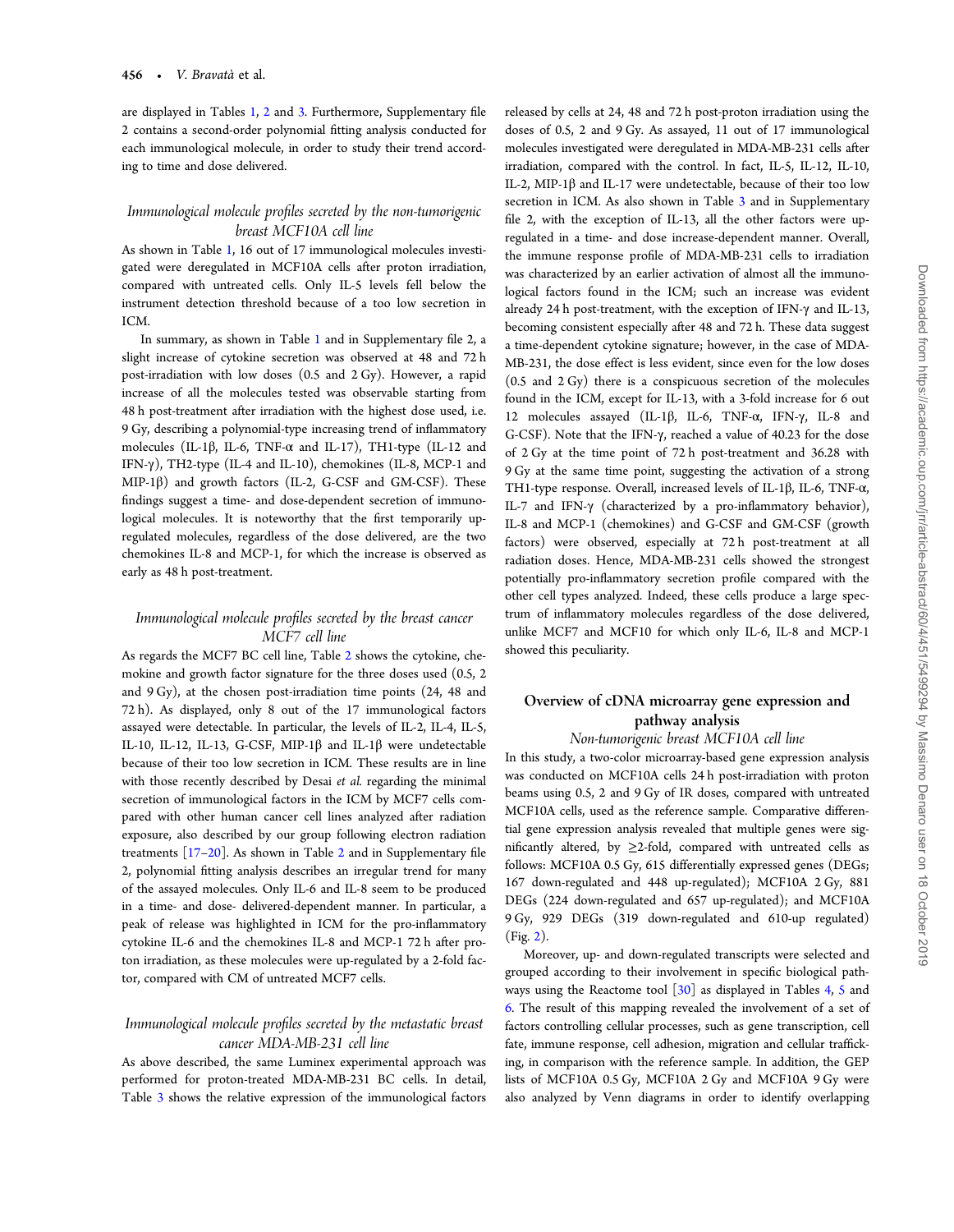are displayed in Tables [1,](#page-3-0) [2](#page-3-0) and [3.](#page-4-0) Furthermore, Supplementary file 2 contains a second-order polynomial fitting analysis conducted for each immunological molecule, in order to study their trend according to time and dose delivered.

## Immunological molecule profiles secreted by the non-tumorigenic breast MCF10A cell line

As shown in Table [1](#page-3-0), 16 out of 17 immunological molecules investigated were deregulated in MCF10A cells after proton irradiation, compared with untreated cells. Only IL-5 levels fell below the instrument detection threshold because of a too low secretion in ICM.

In summary, as shown in Table [1](#page-3-0) and in Supplementary file 2, a slight increase of cytokine secretion was observed at 48 and 72 h post-irradiation with low doses (0.5 and 2 Gy). However, a rapid increase of all the molecules tested was observable starting from 48 h post-treatment after irradiation with the highest dose used, i.e. 9 Gy, describing a polynomial-type increasing trend of inflammatory molecules (IL-1 $\beta$ , IL-6, TNF- $\alpha$  and IL-17), TH1-type (IL-12 and IFN-γ), TH2-type (IL-4 and IL-10), chemokines (IL-8, MCP-1 and MIP-1 $\beta$ ) and growth factors (IL-2, G-CSF and GM-CSF). These findings suggest a time- and dose-dependent secretion of immunological molecules. It is noteworthy that the first temporarily upregulated molecules, regardless of the dose delivered, are the two chemokines IL-8 and MCP-1, for which the increase is observed as early as 48 h post-treatment.

## Immunological molecule profiles secreted by the breast cancer MCF7 cell line

As regards the MCF7 BC cell line, Table [2](#page-3-0) shows the cytokine, chemokine and growth factor signature for the three doses used (0.5, 2 and 9 Gy), at the chosen post-irradiation time points (24, 48 and 72 h). As displayed, only 8 out of the 17 immunological factors assayed were detectable. In particular, the levels of IL-2, IL-4, IL-5, IL-10, IL-12, IL-13, G-CSF, MIP-1β and IL-1β were undetectable because of their too low secretion in ICM. These results are in line with those recently described by Desai et al. regarding the minimal secretion of immunological factors in the ICM by MCF7 cells compared with other human cancer cell lines analyzed after radiation exposure, also described by our group following electron radiation treatments  $[17–20]$  $[17–20]$  $[17–20]$ . As shown in Table [2](#page-3-0) and in Supplementary file 2, polynomial fitting analysis describes an irregular trend for many of the assayed molecules. Only IL-6 and IL-8 seem to be produced in a time- and dose- delivered-dependent manner. In particular, a peak of release was highlighted in ICM for the pro-inflammatory cytokine IL-6 and the chemokines IL-8 and MCP-1 72 h after proton irradiation, as these molecules were up-regulated by a 2-fold factor, compared with CM of untreated MCF7 cells.

## Immunological molecule profiles secreted by the metastatic breast cancer MDA-MB-231 cell line

As above described, the same Luminex experimental approach was performed for proton-treated MDA-MB-231 BC cells. In detail, Table [3](#page-4-0) shows the relative expression of the immunological factors

released by cells at 24, 48 and 72 h post-proton irradiation using the doses of 0.5, 2 and 9 Gy. As assayed, 11 out of 17 immunological molecules investigated were deregulated in MDA-MB-231 cells after irradiation, compared with the control. In fact, IL-5, IL-12, IL-10, IL-2, MIP-1β and IL-17 were undetectable, because of their too low secretion in ICM. As also shown in Table [3](#page-4-0) and in Supplementary file 2, with the exception of IL-13, all the other factors were upregulated in a time- and dose increase-dependent manner. Overall, the immune response profile of MDA-MB-231 cells to irradiation was characterized by an earlier activation of almost all the immunological factors found in the ICM; such an increase was evident already 24 h post-treatment, with the exception of IFN-γ and IL-13, becoming consistent especially after 48 and 72 h. These data suggest a time-dependent cytokine signature; however, in the case of MDA-MB-231, the dose effect is less evident, since even for the low doses (0.5 and 2 Gy) there is a conspicuous secretion of the molecules found in the ICM, except for IL-13, with a 3-fold increase for 6 out 12 molecules assayed (IL-1β, IL-6, TNF-α, IFN-γ, IL-8 and G-CSF). Note that the IFN-γ, reached a value of 40.23 for the dose of 2 Gy at the time point of 72 h post-treatment and 36.28 with 9 Gy at the same time point, suggesting the activation of a strong TH1-type response. Overall, increased levels of IL-1β, IL-6, TNF-α, IL-7 and IFN-γ (characterized by a pro-inflammatory behavior), IL-8 and MCP-1 (chemokines) and G-CSF and GM-CSF (growth factors) were observed, especially at 72 h post-treatment at all radiation doses. Hence, MDA-MB-231 cells showed the strongest potentially pro-inflammatory secretion profile compared with the other cell types analyzed. Indeed, these cells produce a large spectrum of inflammatory molecules regardless of the dose delivered, unlike MCF7 and MCF10 for which only IL-6, IL-8 and MCP-1 showed this peculiarity.

# Overview of cDNA microarray gene expression and pathway analysis

Non-tumorigenic breast MCF10A cell line In this study, a two-color microarray-based gene expression analysis was conducted on MCF10A cells 24 h post-irradiation with proton beams using 0.5, 2 and 9 Gy of IR doses, compared with untreated MCF10A cells, used as the reference sample. Comparative differential gene expression analysis revealed that multiple genes were significantly altered, by  $\geq$ 2-fold, compared with untreated cells as follows: MCF10A 0.5 Gy, 615 differentially expressed genes (DEGs; 167 down-regulated and 448 up-regulated); MCF10A 2 Gy, 881 DEGs (224 down-regulated and 657 up-regulated); and MCF10A 9 Gy, 929 DEGs (319 down-regulated and 610-up regulated) (Fig. [2](#page-6-0)).

Moreover, up- and down-regulated transcripts were selected and grouped according to their involvement in specific biological path-ways using the Reactome tool [\[30\]](#page-14-0) as displayed in Tables [4,](#page-6-0) [5](#page-7-0) and [6](#page-8-0). The result of this mapping revealed the involvement of a set of factors controlling cellular processes, such as gene transcription, cell fate, immune response, cell adhesion, migration and cellular trafficking, in comparison with the reference sample. In addition, the GEP lists of MCF10A 0.5 Gy, MCF10A 2 Gy and MCF10A 9 Gy were also analyzed by Venn diagrams in order to identify overlapping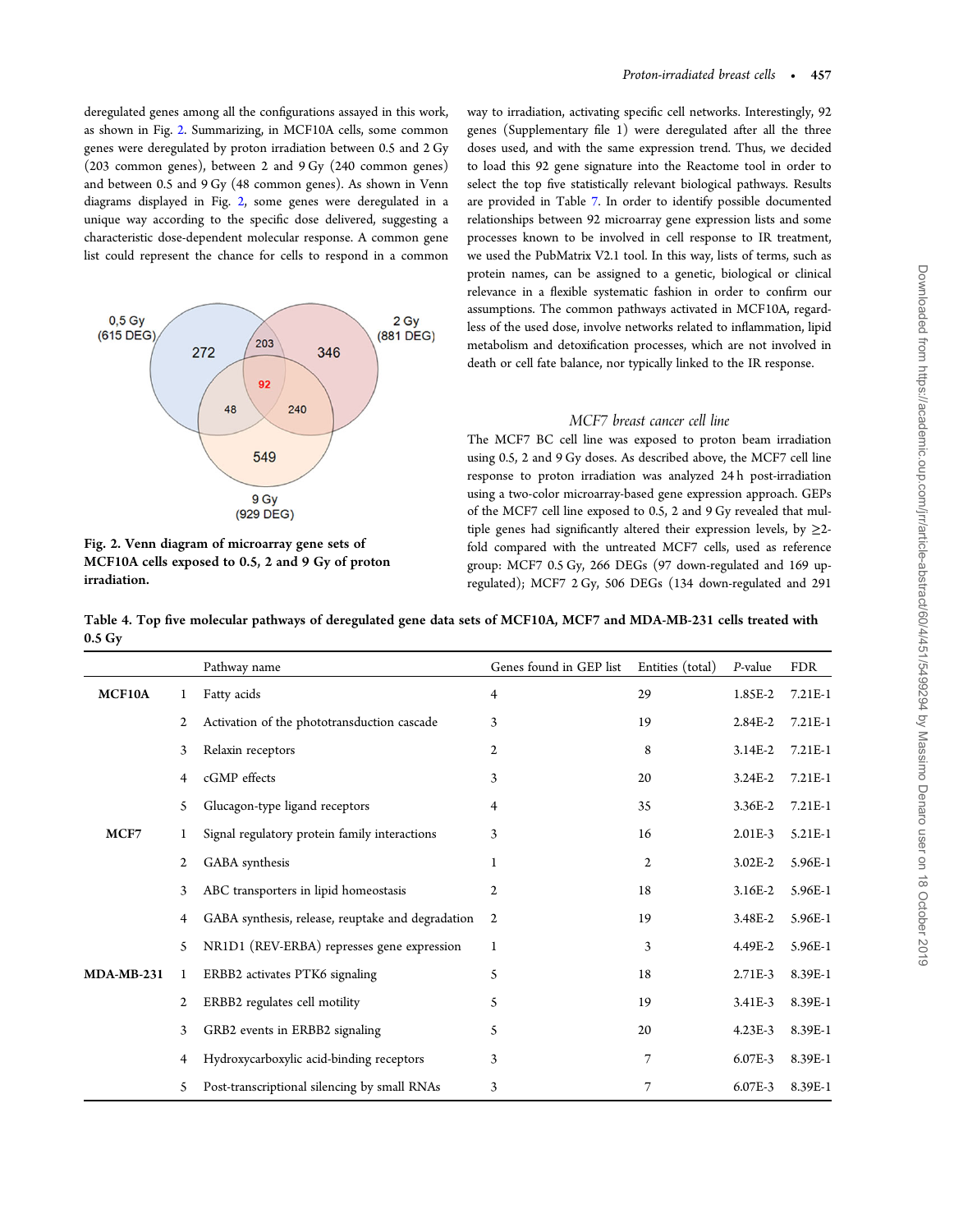<span id="page-6-0"></span>deregulated genes among all the configurations assayed in this work, as shown in Fig. 2. Summarizing, in MCF10A cells, some common genes were deregulated by proton irradiation between 0.5 and 2 Gy (203 common genes), between 2 and 9 Gy (240 common genes) and between 0.5 and 9 Gy (48 common genes). As shown in Venn diagrams displayed in Fig. 2, some genes were deregulated in a unique way according to the specific dose delivered, suggesting a characteristic dose-dependent molecular response. A common gene list could represent the chance for cells to respond in a common





way to irradiation, activating specific cell networks. Interestingly, 92 genes (Supplementary file 1) were deregulated after all the three doses used, and with the same expression trend. Thus, we decided to load this 92 gene signature into the Reactome tool in order to select the top five statistically relevant biological pathways. Results are provided in Table [7.](#page-9-0) In order to identify possible documented relationships between 92 microarray gene expression lists and some processes known to be involved in cell response to IR treatment, we used the PubMatrix V2.1 tool. In this way, lists of terms, such as protein names, can be assigned to a genetic, biological or clinical relevance in a flexible systematic fashion in order to confirm our assumptions. The common pathways activated in MCF10A, regardless of the used dose, involve networks related to inflammation, lipid metabolism and detoxification processes, which are not involved in death or cell fate balance, nor typically linked to the IR response.

## MCF7 breast cancer cell line

The MCF7 BC cell line was exposed to proton beam irradiation using 0.5, 2 and 9 Gy doses. As described above, the MCF7 cell line response to proton irradiation was analyzed 24 h post-irradiation using a two-color microarray-based gene expression approach. GEPs of the MCF7 cell line exposed to 0.5, 2 and 9 Gy revealed that multiple genes had significantly altered their expression levels, by  $\geq$ 2fold compared with the untreated MCF7 cells, used as reference group: MCF7 0.5 Gy, 266 DEGs (97 down-regulated and 169 upregulated); MCF7 2 Gy, 506 DEGs (134 down-regulated and 291

Table 4. Top five molecular pathways of deregulated gene data sets of MCF10A, MCF7 and MDA-MB-231 cells treated with 0.5 Gy

|              |    | Pathway name                                      | Genes found in GEP list | Entities (total) | P-value     | <b>FDR</b> |
|--------------|----|---------------------------------------------------|-------------------------|------------------|-------------|------------|
| MCF10A       |    | Fatty acids                                       | 4                       | 29               | 1.85E-2     | 7.21E-1    |
|              | 2  | Activation of the phototransduction cascade       | 3                       | 19               | 2.84E-2     | 7.21E-1    |
|              | 3  | Relaxin receptors                                 | 2                       | 8                | 3.14E-2     | 7.21E-1    |
|              | 4  | cGMP effects                                      | 3                       | 20               | 3.24E-2     | 7.21E-1    |
|              | 5  | Glucagon-type ligand receptors                    | 4                       | 35               | 3.36E-2     | 7.21E-1    |
| MCF7         | 1  | Signal regulatory protein family interactions     | 3                       | 16               | $2.01E-3$   | 5.21E-1    |
|              | 2  | GABA synthesis                                    | 1                       | $\mathbf{2}$     | $3.02E - 2$ | 5.96E-1    |
|              | 3  | ABC transporters in lipid homeostasis             | 2                       | 18               | $3.16E-2$   | 5.96E-1    |
|              | 4  | GABA synthesis, release, reuptake and degradation | $\overline{c}$          | 19               | 3.48E-2     | 5.96E-1    |
|              | 5  | NR1D1 (REV-ERBA) represses gene expression        | 1                       | 3                | 4.49E-2     | 5.96E-1    |
| $MDA-MB-231$ | 1  | ERBB2 activates PTK6 signaling                    | 5                       | 18               | $2.71E-3$   | 8.39E-1    |
|              | 2  | ERBB2 regulates cell motility                     | 5                       | 19               | 3.41E-3     | 8.39E-1    |
|              | 3  | GRB2 events in ERBB2 signaling                    | 5                       | 20               | $4.23E-3$   | 8.39E-1    |
|              | 4  | Hydroxycarboxylic acid-binding receptors          | 3                       | 7                | 6.07E-3     | 8.39E-1    |
|              | 5. | Post-transcriptional silencing by small RNAs      | 3                       | 7                | 6.07E-3     | 8.39E-1    |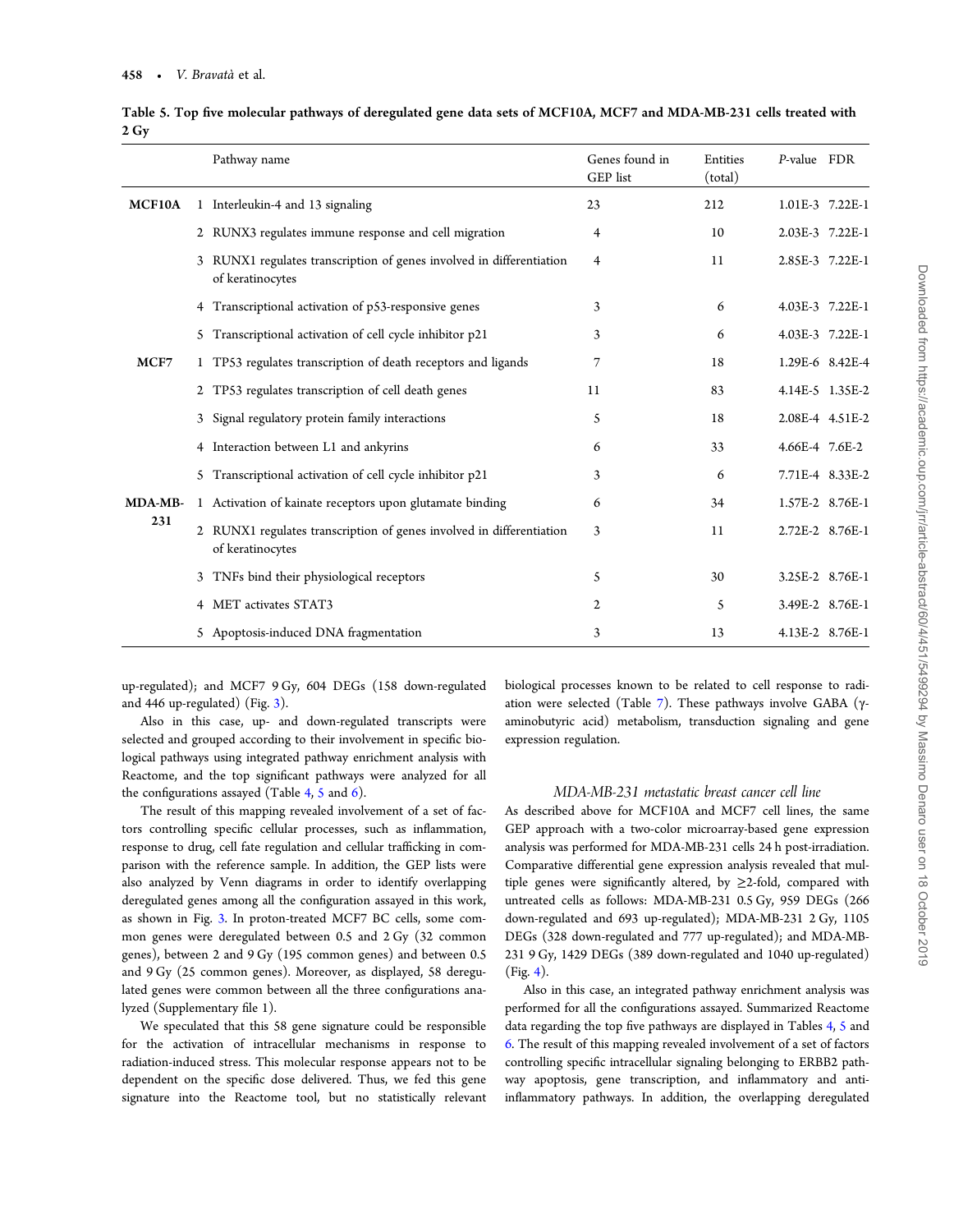|         | Pathway name                                                                             | Genes found in<br>GEP list | Entities<br>(total) | P-value FDR     |  |
|---------|------------------------------------------------------------------------------------------|----------------------------|---------------------|-----------------|--|
| MCF10A  | 1 Interleukin-4 and 13 signaling                                                         | 23                         | 212                 | 1.01E-3 7.22E-1 |  |
|         | 2 RUNX3 regulates immune response and cell migration                                     | 4                          | 10                  | 2.03E-3 7.22E-1 |  |
|         | 3 RUNX1 regulates transcription of genes involved in differentiation<br>of keratinocytes | 4                          | 11                  | 2.85E-3 7.22E-1 |  |
|         | 4 Transcriptional activation of p53-responsive genes                                     | 3                          | 6                   | 4.03E-3 7.22E-1 |  |
|         | 5 Transcriptional activation of cell cycle inhibitor p21                                 | 3                          | 6                   | 4.03E-3 7.22E-1 |  |
| MCF7    | 1 TP53 regulates transcription of death receptors and ligands                            | 7                          | 18                  | 1.29E-6 8.42E-4 |  |
|         | 2 TP53 regulates transcription of cell death genes                                       | 11                         | 83                  | 4.14E-5 1.35E-2 |  |
|         | Signal regulatory protein family interactions                                            | 5                          | 18                  | 2.08E-4 4.51E-2 |  |
|         | 4 Interaction between L1 and ankyrins                                                    | 6                          | 33                  | 4.66E-4 7.6E-2  |  |
|         | 5 Transcriptional activation of cell cycle inhibitor p21                                 | 3                          | 6                   | 7.71E-4 8.33E-2 |  |
| MDA-MB- | 1 Activation of kainate receptors upon glutamate binding                                 | 6                          | 34                  | 1.57E-2 8.76E-1 |  |
| 231     | 2 RUNX1 regulates transcription of genes involved in differentiation<br>of keratinocytes | 3                          | 11                  | 2.72E-2 8.76E-1 |  |
|         | 3 TNFs bind their physiological receptors                                                | 5                          | 30                  | 3.25E-2 8.76E-1 |  |
|         | 4 MET activates STAT3                                                                    | 2                          | 5                   | 3.49E-2 8.76E-1 |  |
|         | 5 Apoptosis-induced DNA fragmentation                                                    | 3                          | 13                  | 4.13E-2 8.76E-1 |  |

<span id="page-7-0"></span>Table 5. Top five molecular pathways of deregulated gene data sets of MCF10A, MCF7 and MDA-MB-231 cells treated with 2 Gy

up-regulated); and MCF7 9 Gy, 604 DEGs (158 down-regulated and 446 up-regulated) (Fig. [3\)](#page-9-0).

Also in this case, up- and down-regulated transcripts were selected and grouped according to their involvement in specific biological pathways using integrated pathway enrichment analysis with Reactome, and the top significant pathways were analyzed for all the configurations assayed (Table [4,](#page-6-0) 5 and  $6$ ).

The result of this mapping revealed involvement of a set of factors controlling specific cellular processes, such as inflammation, response to drug, cell fate regulation and cellular trafficking in comparison with the reference sample. In addition, the GEP lists were also analyzed by Venn diagrams in order to identify overlapping deregulated genes among all the configuration assayed in this work, as shown in Fig. [3](#page-9-0). In proton-treated MCF7 BC cells, some common genes were deregulated between 0.5 and 2 Gy (32 common genes), between 2 and 9 Gy (195 common genes) and between 0.5 and 9 Gy (25 common genes). Moreover, as displayed, 58 deregulated genes were common between all the three configurations analyzed (Supplementary file 1).

We speculated that this 58 gene signature could be responsible for the activation of intracellular mechanisms in response to radiation-induced stress. This molecular response appears not to be dependent on the specific dose delivered. Thus, we fed this gene signature into the Reactome tool, but no statistically relevant biological processes known to be related to cell response to radi-ation were selected (Table [7](#page-9-0)). These pathways involve GABA ( $\gamma$ aminobutyric acid) metabolism, transduction signaling and gene expression regulation.

#### MDA-MB-231 metastatic breast cancer cell line

As described above for MCF10A and MCF7 cell lines, the same GEP approach with a two-color microarray-based gene expression analysis was performed for MDA-MB-231 cells 24 h post-irradiation. Comparative differential gene expression analysis revealed that multiple genes were significantly altered, by  $\geq$ 2-fold, compared with untreated cells as follows: MDA-MB-231 0.5 Gy, 959 DEGs (266 down-regulated and 693 up-regulated); MDA-MB-231 2 Gy, 1105 DEGs (328 down-regulated and 777 up-regulated); and MDA-MB-231 9 Gy, 1429 DEGs (389 down-regulated and 1040 up-regulated)  $(Fi\varrho, 4)$  $(Fi\varrho, 4)$  $(Fi\varrho, 4)$ .

Also in this case, an integrated pathway enrichment analysis was performed for all the configurations assayed. Summarized Reactome data regarding the top five pathways are displayed in Tables [4,](#page-6-0) 5 and [6](#page-8-0). The result of this mapping revealed involvement of a set of factors controlling specific intracellular signaling belonging to ERBB2 pathway apoptosis, gene transcription, and inflammatory and antiinflammatory pathways. In addition, the overlapping deregulated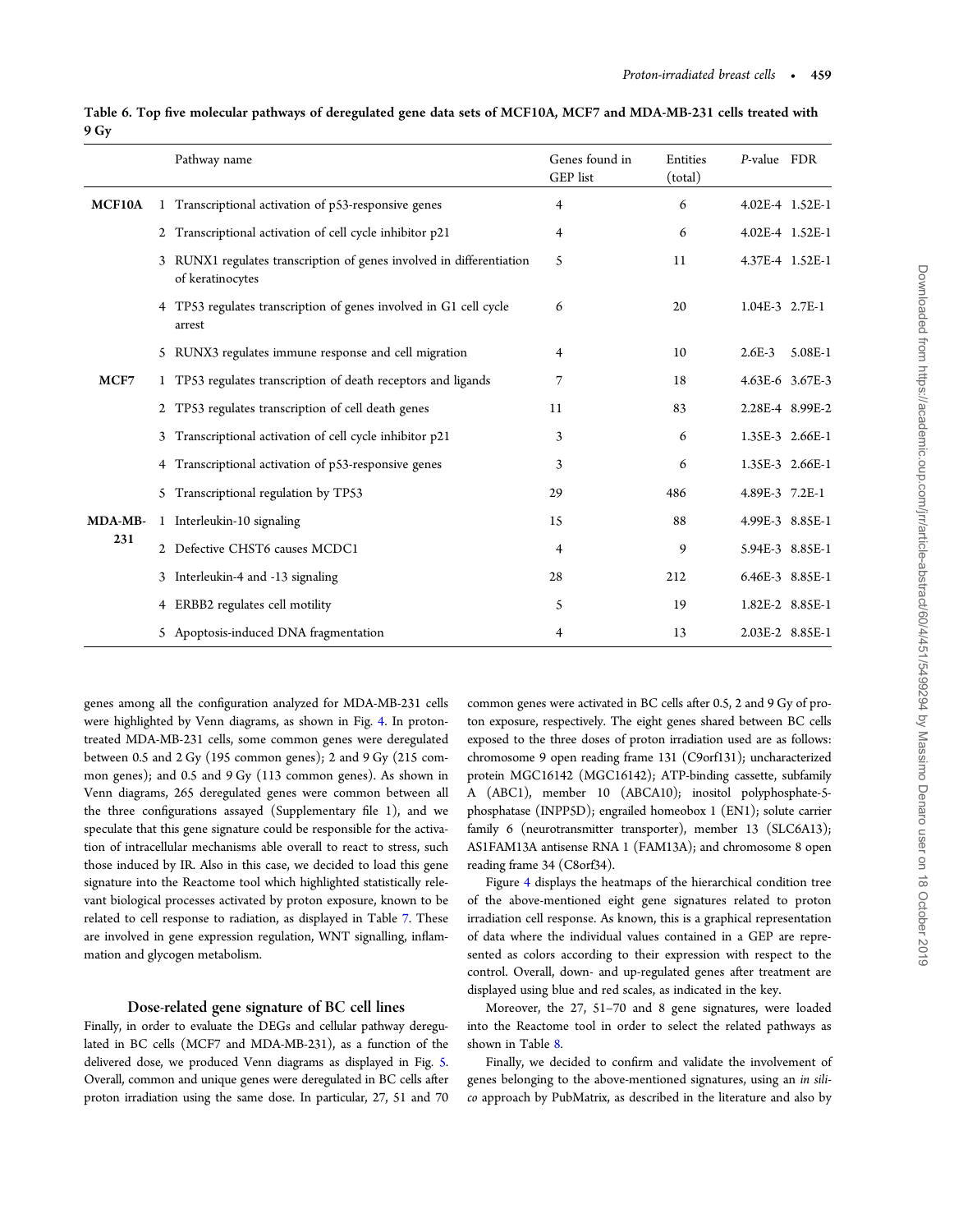<span id="page-8-0"></span>

| Table 6. Top five molecular pathways of deregulated gene data sets of MCF10A, MCF7 and MDA-MB-231 cells treated with |  |
|----------------------------------------------------------------------------------------------------------------------|--|
| 9 Gy                                                                                                                 |  |

|         |                | Pathway name                                                                           | Genes found in<br>GEP list | Entities<br>(total) | P-value FDR     |         |
|---------|----------------|----------------------------------------------------------------------------------------|----------------------------|---------------------|-----------------|---------|
| MCF10A  |                | 1 Transcriptional activation of p53-responsive genes                                   | 4                          | 6                   | 4.02E-4 1.52E-1 |         |
|         | $\overline{2}$ | Transcriptional activation of cell cycle inhibitor p21                                 | 4                          | 6                   | 4.02E-4 1.52E-1 |         |
|         |                | RUNX1 regulates transcription of genes involved in differentiation<br>of keratinocytes | 5                          | 11                  | 4.37E-4 1.52E-1 |         |
|         |                | 4 TP53 regulates transcription of genes involved in G1 cell cycle<br>arrest            | 6                          | 20                  | 1.04E-3 2.7E-1  |         |
|         |                | 5 RUNX3 regulates immune response and cell migration                                   | 4                          | 10                  | $2.6E-3$        | 5.08E-1 |
| MCF7    |                | 1 TP53 regulates transcription of death receptors and ligands                          | 7                          | 18                  | 4.63E-6 3.67E-3 |         |
|         |                | 2 TP53 regulates transcription of cell death genes                                     | 11                         | 83                  | 2.28E-4 8.99E-2 |         |
|         | 3              | Transcriptional activation of cell cycle inhibitor p21                                 | 3                          | 6                   | 1.35E-3 2.66E-1 |         |
|         |                | 4 Transcriptional activation of p53-responsive genes                                   | 3                          | 6                   | 1.35E-3 2.66E-1 |         |
|         | 5.             | Transcriptional regulation by TP53                                                     | 29                         | 486                 | 4.89E-3 7.2E-1  |         |
| MDA-MB- |                | 1 Interleukin-10 signaling                                                             | 15                         | 88                  | 4.99E-3 8.85E-1 |         |
| 231     |                | 2 Defective CHST6 causes MCDC1                                                         | 4                          | 9                   | 5.94E-3 8.85E-1 |         |
|         | 3              | Interleukin-4 and -13 signaling                                                        | 28                         | 212                 | 6.46E-3 8.85E-1 |         |
|         |                | 4 ERBB2 regulates cell motility                                                        | 5                          | 19                  | 1.82E-2 8.85E-1 |         |
|         |                | 5 Apoptosis-induced DNA fragmentation                                                  | 4                          | 13                  | 2.03E-2 8.85E-1 |         |

genes among all the configuration analyzed for MDA-MB-231 cells were highlighted by Venn diagrams, as shown in Fig. [4.](#page-10-0) In protontreated MDA-MB-231 cells, some common genes were deregulated between 0.5 and 2 Gy (195 common genes); 2 and 9 Gy (215 common genes); and 0.5 and 9 Gy (113 common genes). As shown in Venn diagrams, 265 deregulated genes were common between all the three configurations assayed (Supplementary file 1), and we speculate that this gene signature could be responsible for the activation of intracellular mechanisms able overall to react to stress, such those induced by IR. Also in this case, we decided to load this gene signature into the Reactome tool which highlighted statistically relevant biological processes activated by proton exposure, known to be related to cell response to radiation, as displayed in Table [7.](#page-9-0) These are involved in gene expression regulation, WNT signalling, inflammation and glycogen metabolism.

#### Dose-related gene signature of BC cell lines

Finally, in order to evaluate the DEGs and cellular pathway deregulated in BC cells (MCF7 and MDA-MB-231), as a function of the delivered dose, we produced Venn diagrams as displayed in Fig. [5](#page-10-0). Overall, common and unique genes were deregulated in BC cells after proton irradiation using the same dose. In particular, 27, 51 and 70 common genes were activated in BC cells after 0.5, 2 and 9 Gy of proton exposure, respectively. The eight genes shared between BC cells exposed to the three doses of proton irradiation used are as follows: chromosome 9 open reading frame 131 (C9orf131); uncharacterized protein MGC16142 (MGC16142); ATP-binding cassette, subfamily A (ABC1), member 10 (ABCA10); inositol polyphosphate-5 phosphatase (INPP5D); engrailed homeobox 1 (EN1); solute carrier family 6 (neurotransmitter transporter), member 13 (SLC6A13); AS1FAM13A antisense RNA 1 (FAM13A); and chromosome 8 open reading frame 34 (C8orf34).

Figure [4](#page-10-0) displays the heatmaps of the hierarchical condition tree of the above-mentioned eight gene signatures related to proton irradiation cell response. As known, this is a graphical representation of data where the individual values contained in a GEP are represented as colors according to their expression with respect to the control. Overall, down- and up-regulated genes after treatment are displayed using blue and red scales, as indicated in the key.

Moreover, the 27, 51–70 and 8 gene signatures, were loaded into the Reactome tool in order to select the related pathways as shown in Table [8.](#page-11-0)

Finally, we decided to confirm and validate the involvement of genes belonging to the above-mentioned signatures, using an in silico approach by PubMatrix, as described in the literature and also by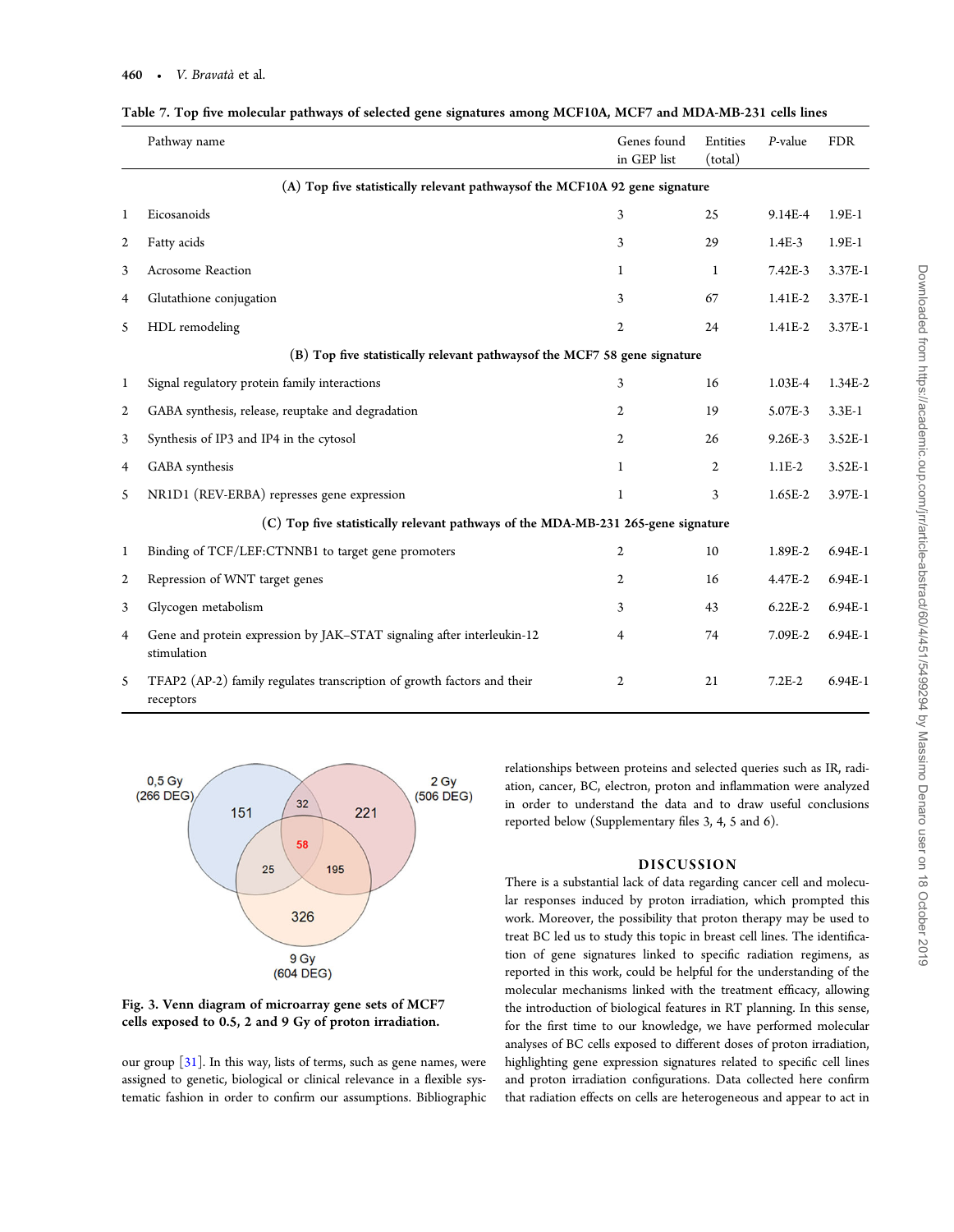|   | Pathway name                                                                          | Genes found<br>in GEP list | Entities<br>(total) | P-value     | <b>FDR</b> |
|---|---------------------------------------------------------------------------------------|----------------------------|---------------------|-------------|------------|
|   | (A) Top five statistically relevant pathwaysof the MCF10A 92 gene signature           |                            |                     |             |            |
| 1 | Eicosanoids                                                                           | 3                          | 25                  | 9.14E-4     | $1.9E-1$   |
| 2 | Fatty acids                                                                           | 3                          | 29                  | $1.4E-3$    | $1.9E-1$   |
| 3 | <b>Acrosome Reaction</b>                                                              | 1                          | $\mathbf{1}$        | $7.42E-3$   | 3.37E-1    |
| 4 | Glutathione conjugation                                                               | 3                          | 67                  | 1.41E-2     | 3.37E-1    |
| 5 | HDL remodeling                                                                        | $\mathbf{2}$               | 24                  | 1.41E-2     | 3.37E-1    |
|   | (B) Top five statistically relevant pathwaysof the MCF7 58 gene signature             |                            |                     |             |            |
| 1 | Signal regulatory protein family interactions                                         | 3                          | 16                  | 1.03E-4     | 1.34E-2    |
| 2 | GABA synthesis, release, reuptake and degradation                                     | $\overline{2}$             | 19                  | 5.07E-3     | $3.3E-1$   |
| 3 | Synthesis of IP3 and IP4 in the cytosol                                               | 2                          | 26                  | 9.26E-3     | 3.52E-1    |
| 4 | GABA synthesis                                                                        | $\mathbf{1}$               | $\mathbf{2}$        | $1.1E-2$    | 3.52E-1    |
| 5 | NR1D1 (REV-ERBA) represses gene expression                                            | 1                          | 3                   | 1.65E-2     | 3.97E-1    |
|   | (C) Top five statistically relevant pathways of the MDA-MB-231 265-gene signature     |                            |                     |             |            |
| 1 | Binding of TCF/LEF:CTNNB1 to target gene promoters                                    | 2                          | 10                  | 1.89E-2     | 6.94E-1    |
| 2 | Repression of WNT target genes                                                        | $\overline{2}$             | 16                  | 4.47E-2     | 6.94E-1    |
| 3 | Glycogen metabolism                                                                   | 3                          | 43                  | $6.22E - 2$ | 6.94E-1    |
| 4 | Gene and protein expression by JAK-STAT signaling after interleukin-12<br>stimulation | 4                          | 74                  | 7.09E-2     | 6.94E-1    |
| 5 | TFAP2 (AP-2) family regulates transcription of growth factors and their<br>receptors  | 2                          | 21                  | $7.2E-2$    | 6.94E-1    |

<span id="page-9-0"></span>

| Table 7. Top five molecular pathways of selected gene signatures among MCF10A, MCF7 and MDA-MB-231 cells lines |  |  |
|----------------------------------------------------------------------------------------------------------------|--|--|
|                                                                                                                |  |  |





our group [\[31\]](#page-14-0). In this way, lists of terms, such as gene names, were assigned to genetic, biological or clinical relevance in a flexible systematic fashion in order to confirm our assumptions. Bibliographic

relationships between proteins and selected queries such as IR, radiation, cancer, BC, electron, proton and inflammation were analyzed in order to understand the data and to draw useful conclusions reported below (Supplementary files 3, 4, 5 and 6).

## DISCUSSION

There is a substantial lack of data regarding cancer cell and molecular responses induced by proton irradiation, which prompted this work. Moreover, the possibility that proton therapy may be used to treat BC led us to study this topic in breast cell lines. The identification of gene signatures linked to specific radiation regimens, as reported in this work, could be helpful for the understanding of the molecular mechanisms linked with the treatment efficacy, allowing the introduction of biological features in RT planning. In this sense, for the first time to our knowledge, we have performed molecular analyses of BC cells exposed to different doses of proton irradiation, highlighting gene expression signatures related to specific cell lines and proton irradiation configurations. Data collected here confirm that radiation effects on cells are heterogeneous and appear to act in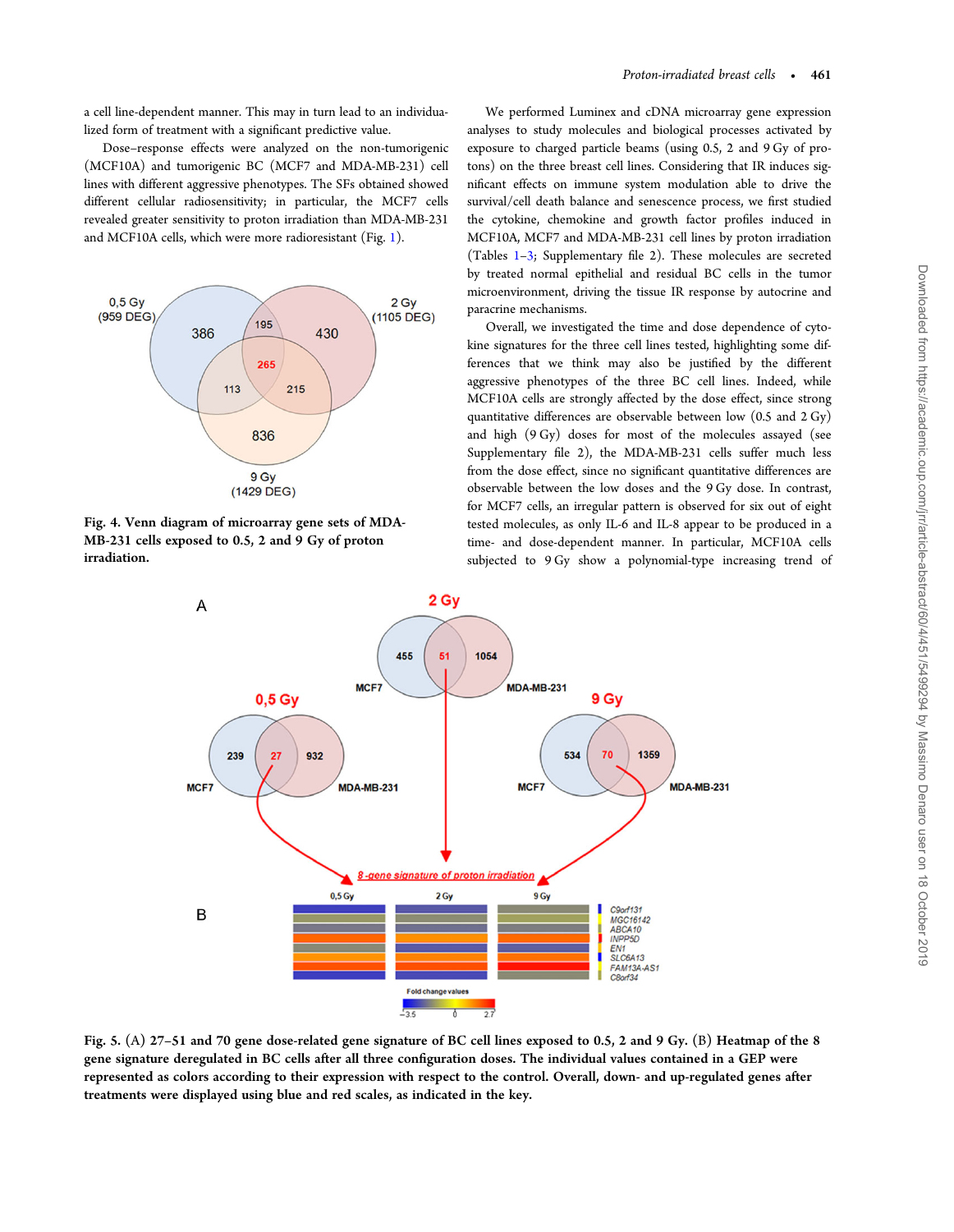<span id="page-10-0"></span>a cell line-dependent manner. This may in turn lead to an individualized form of treatment with a significant predictive value.

Dose–response effects were analyzed on the non-tumorigenic (MCF10A) and tumorigenic BC (MCF7 and MDA-MB-231) cell lines with different aggressive phenotypes. The SFs obtained showed different cellular radiosensitivity; in particular, the MCF7 cells revealed greater sensitivity to proton irradiation than MDA-MB-231 and MCF10A cells, which were more radioresistant (Fig. [1](#page-2-0)).



Fig. 4. Venn diagram of microarray gene sets of MDA-MB-231 cells exposed to 0.5, 2 and 9 Gy of proton irradiation.

We performed Luminex and cDNA microarray gene expression analyses to study molecules and biological processes activated by exposure to charged particle beams (using 0.5, 2 and 9 Gy of protons) on the three breast cell lines. Considering that IR induces significant effects on immune system modulation able to drive the survival/cell death balance and senescence process, we first studied the cytokine, chemokine and growth factor profiles induced in MCF10A, MCF7 and MDA-MB-231 cell lines by proton irradiation (Tables [1](#page-3-0)–[3;](#page-4-0) Supplementary file 2). These molecules are secreted by treated normal epithelial and residual BC cells in the tumor microenvironment, driving the tissue IR response by autocrine and paracrine mechanisms.

Overall, we investigated the time and dose dependence of cytokine signatures for the three cell lines tested, highlighting some differences that we think may also be justified by the different aggressive phenotypes of the three BC cell lines. Indeed, while MCF10A cells are strongly affected by the dose effect, since strong quantitative differences are observable between low (0.5 and 2 Gy) and high (9 Gy) doses for most of the molecules assayed (see Supplementary file 2), the MDA-MB-231 cells suffer much less from the dose effect, since no significant quantitative differences are observable between the low doses and the 9 Gy dose. In contrast, for MCF7 cells, an irregular pattern is observed for six out of eight tested molecules, as only IL-6 and IL-8 appear to be produced in a time- and dose-dependent manner. In particular, MCF10A cells subjected to 9 Gy show a polynomial-type increasing trend of



Fig. 5. (A) 27–51 and 70 gene dose-related gene signature of BC cell lines exposed to 0.5, 2 and 9 Gy. (B) Heatmap of the 8 gene signature deregulated in BC cells after all three configuration doses. The individual values contained in a GEP were represented as colors according to their expression with respect to the control. Overall, down- and up-regulated genes after treatments were displayed using blue and red scales, as indicated in the key.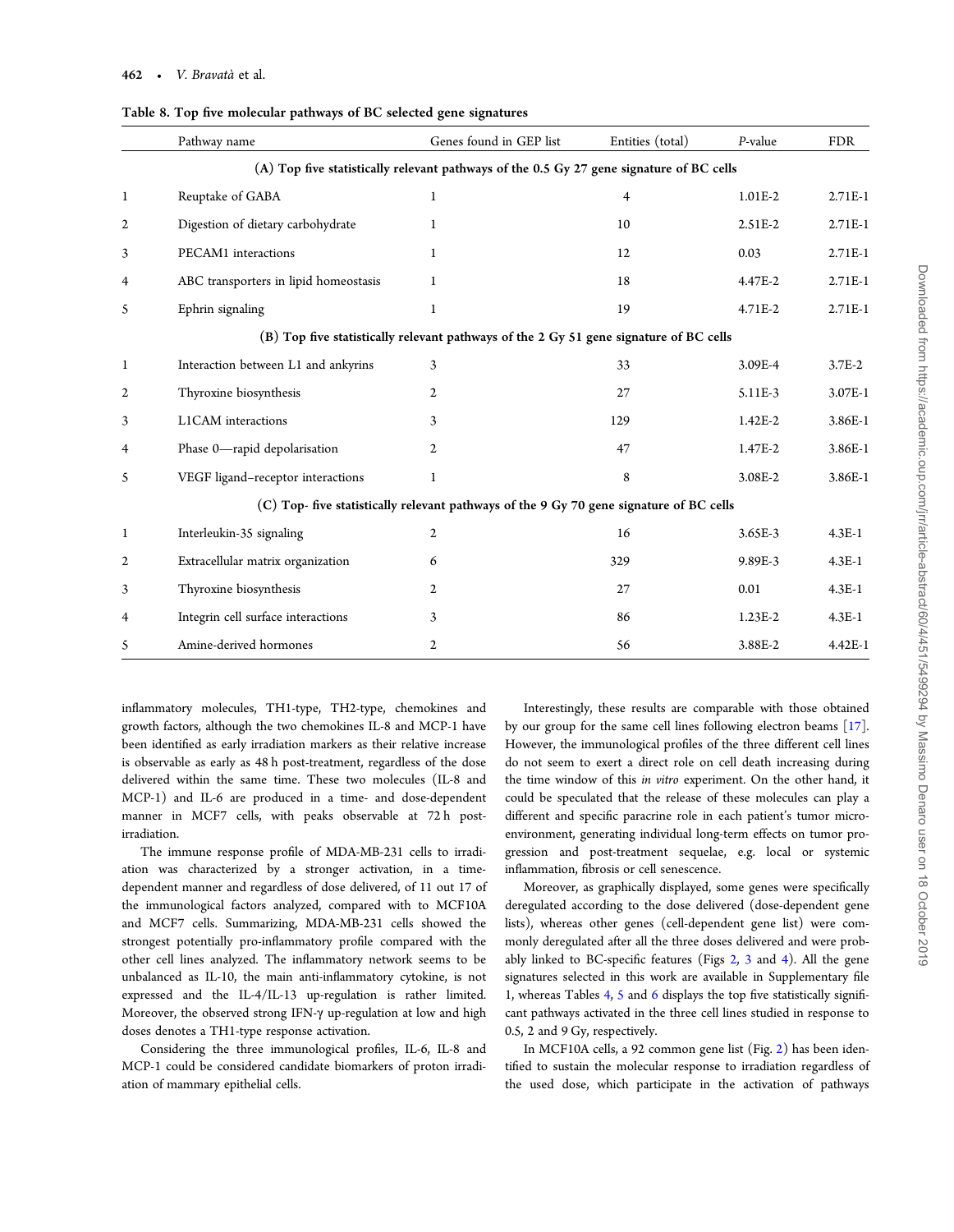| Pathway name                                                                             | Genes found in GEP list | Entities (total) | P-value     | <b>FDR</b>                                                                              |  |  |  |  |  |  |
|------------------------------------------------------------------------------------------|-------------------------|------------------|-------------|-----------------------------------------------------------------------------------------|--|--|--|--|--|--|
| (A) Top five statistically relevant pathways of the 0.5 Gy 27 gene signature of BC cells |                         |                  |             |                                                                                         |  |  |  |  |  |  |
| Reuptake of GABA                                                                         | 1                       | 4                | 1.01E-2     | $2.71E-1$                                                                               |  |  |  |  |  |  |
| Digestion of dietary carbohydrate                                                        | 1                       | 10               | 2.51E-2     | 2.71E-1                                                                                 |  |  |  |  |  |  |
| PECAM1 interactions                                                                      | 1                       | 12               | 0.03        | 2.71E-1                                                                                 |  |  |  |  |  |  |
| ABC transporters in lipid homeostasis                                                    | $\mathbf{1}$            | 18               | 4.47E-2     | 2.71E-1                                                                                 |  |  |  |  |  |  |
| Ephrin signaling                                                                         | $\mathbf{1}$            | 19               | 4.71E-2     | 2.71E-1                                                                                 |  |  |  |  |  |  |
| (B) Top five statistically relevant pathways of the 2 Gy 51 gene signature of BC cells   |                         |                  |             |                                                                                         |  |  |  |  |  |  |
| Interaction between L1 and ankyrins                                                      | 3                       | 33               | 3.09E-4     | $3.7E-2$                                                                                |  |  |  |  |  |  |
| Thyroxine biosynthesis                                                                   | $\mathbf{2}$            | 27               | 5.11E-3     | 3.07E-1                                                                                 |  |  |  |  |  |  |
| L1CAM interactions                                                                       | 3                       | 129              | $1.42E - 2$ | 3.86E-1                                                                                 |  |  |  |  |  |  |
| Phase 0-rapid depolarisation                                                             | $\overline{2}$          | 47               | 1.47E-2     | 3.86E-1                                                                                 |  |  |  |  |  |  |
| VEGF ligand-receptor interactions                                                        | $\mathbf{1}$            | 8                | 3.08E-2     | 3.86E-1                                                                                 |  |  |  |  |  |  |
|                                                                                          |                         |                  |             |                                                                                         |  |  |  |  |  |  |
| Interleukin-35 signaling                                                                 | $\mathbf{2}$            | 16               | 3.65E-3     | $4.3E-1$                                                                                |  |  |  |  |  |  |
| Extracellular matrix organization                                                        | 6                       | 329              | 9.89E-3     | $4.3E-1$                                                                                |  |  |  |  |  |  |
| Thyroxine biosynthesis                                                                   | 2                       | 27               | 0.01        | $4.3E-1$                                                                                |  |  |  |  |  |  |
| Integrin cell surface interactions                                                       | 3                       | 86               | $1.23E-2$   | $4.3E-1$                                                                                |  |  |  |  |  |  |
| Amine-derived hormones                                                                   | $\mathbf{2}$            | 56               | 3.88E-2     | 4.42E-1                                                                                 |  |  |  |  |  |  |
|                                                                                          |                         |                  |             | (C) Top- five statistically relevant pathways of the 9 Gy 70 gene signature of BC cells |  |  |  |  |  |  |

<span id="page-11-0"></span>Table 8. Top five molecular pathways of BC selected gene signatures

inflammatory molecules, TH1-type, TH2-type, chemokines and growth factors, although the two chemokines IL-8 and MCP-1 have been identified as early irradiation markers as their relative increase is observable as early as 48 h post-treatment, regardless of the dose delivered within the same time. These two molecules (IL-8 and MCP-1) and IL-6 are produced in a time- and dose-dependent manner in MCF7 cells, with peaks observable at 72 h postirradiation.

The immune response profile of MDA-MB-231 cells to irradiation was characterized by a stronger activation, in a timedependent manner and regardless of dose delivered, of 11 out 17 of the immunological factors analyzed, compared with to MCF10A and MCF7 cells. Summarizing, MDA-MB-231 cells showed the strongest potentially pro-inflammatory profile compared with the other cell lines analyzed. The inflammatory network seems to be unbalanced as IL-10, the main anti-inflammatory cytokine, is not expressed and the IL-4/IL-13 up-regulation is rather limited. Moreover, the observed strong IFN-γ up-regulation at low and high doses denotes a TH1-type response activation.

Considering the three immunological profiles, IL-6, IL-8 and MCP-1 could be considered candidate biomarkers of proton irradiation of mammary epithelial cells.

Interestingly, these results are comparable with those obtained by our group for the same cell lines following electron beams [[17](#page-13-0)]. However, the immunological profiles of the three different cell lines do not seem to exert a direct role on cell death increasing during the time window of this in vitro experiment. On the other hand, it could be speculated that the release of these molecules can play a different and specific paracrine role in each patient's tumor microenvironment, generating individual long-term effects on tumor progression and post-treatment sequelae, e.g. local or systemic inflammation, fibrosis or cell senescence.

Moreover, as graphically displayed, some genes were specifically deregulated according to the dose delivered (dose-dependent gene lists), whereas other genes (cell-dependent gene list) were commonly deregulated after all the three doses delivered and were probably linked to BC-specific features (Figs [2](#page-6-0), [3](#page-9-0) and [4](#page-10-0)). All the gene signatures selected in this work are available in Supplementary file 1, whereas Tables [4](#page-6-0), [5](#page-7-0) and [6](#page-8-0) displays the top five statistically significant pathways activated in the three cell lines studied in response to 0.5, 2 and 9 Gy, respectively.

In MCF10A cells, a 92 common gene list (Fig. [2\)](#page-6-0) has been identified to sustain the molecular response to irradiation regardless of the used dose, which participate in the activation of pathways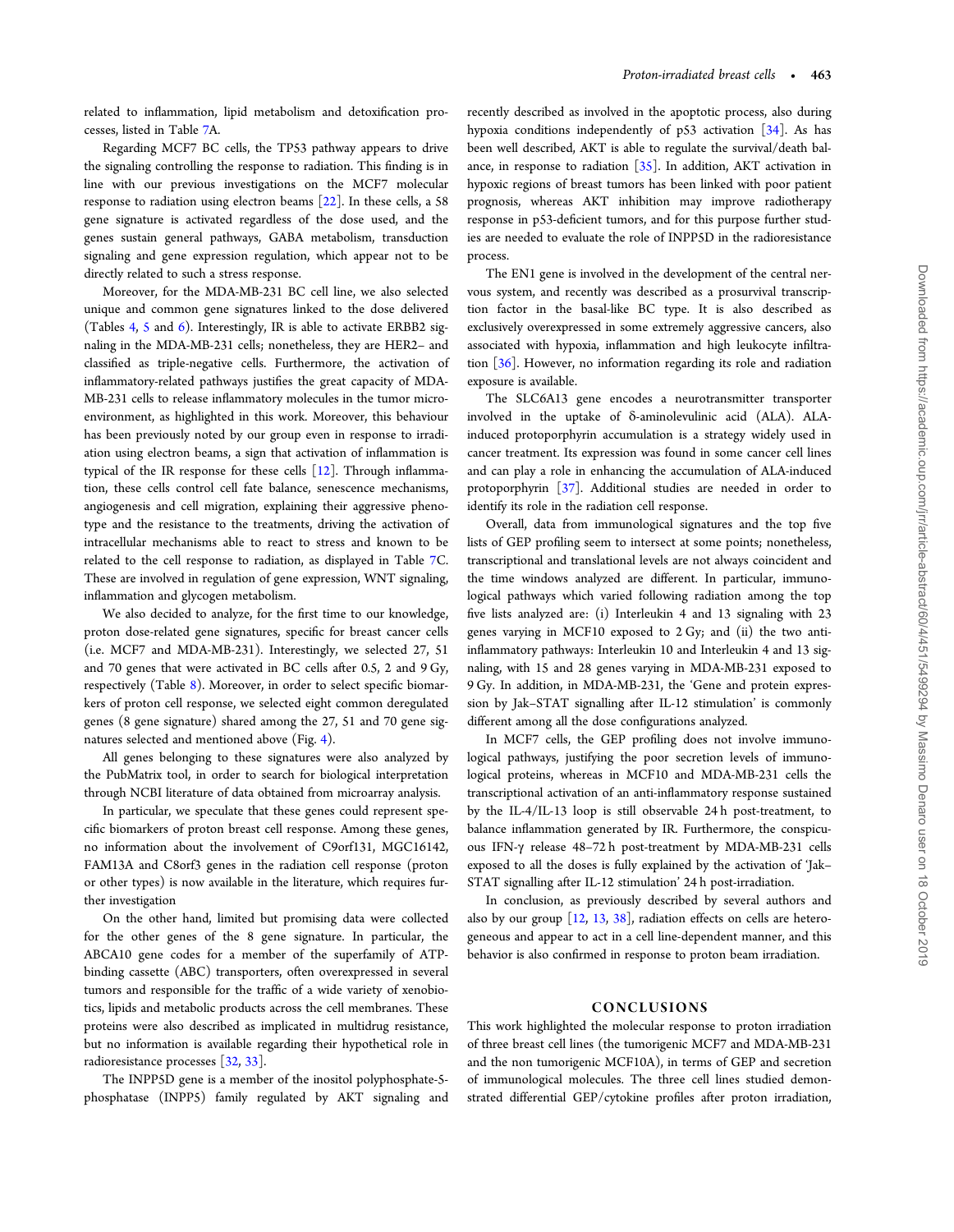related to inflammation, lipid metabolism and detoxification processes, listed in Table [7](#page-9-0)A.

Regarding MCF7 BC cells, the TP53 pathway appears to drive the signaling controlling the response to radiation. This finding is in line with our previous investigations on the MCF7 molecular response to radiation using electron beams [\[22\]](#page-13-0). In these cells, a 58 gene signature is activated regardless of the dose used, and the genes sustain general pathways, GABA metabolism, transduction signaling and gene expression regulation, which appear not to be directly related to such a stress response.

Moreover, for the MDA-MB-231 BC cell line, we also selected unique and common gene signatures linked to the dose delivered (Tables [4](#page-6-0), [5](#page-7-0) and [6\)](#page-8-0). Interestingly, IR is able to activate ERBB2 signaling in the MDA-MB-231 cells; nonetheless, they are HER2– and classified as triple-negative cells. Furthermore, the activation of inflammatory-related pathways justifies the great capacity of MDA-MB-231 cells to release inflammatory molecules in the tumor microenvironment, as highlighted in this work. Moreover, this behaviour has been previously noted by our group even in response to irradiation using electron beams, a sign that activation of inflammation is typical of the IR response for these cells  $[12]$  $[12]$ . Through inflammation, these cells control cell fate balance, senescence mechanisms, angiogenesis and cell migration, explaining their aggressive phenotype and the resistance to the treatments, driving the activation of intracellular mechanisms able to react to stress and known to be related to the cell response to radiation, as displayed in Table [7](#page-9-0)C. These are involved in regulation of gene expression, WNT signaling, inflammation and glycogen metabolism.

We also decided to analyze, for the first time to our knowledge, proton dose-related gene signatures, specific for breast cancer cells (i.e. MCF7 and MDA-MB-231). Interestingly, we selected 27, 51 and 70 genes that were activated in BC cells after 0.5, 2 and 9 Gy, respectively (Table [8](#page-11-0)). Moreover, in order to select specific biomarkers of proton cell response, we selected eight common deregulated genes (8 gene signature) shared among the 27, 51 and 70 gene signatures selected and mentioned above (Fig. [4](#page-10-0)).

All genes belonging to these signatures were also analyzed by the PubMatrix tool, in order to search for biological interpretation through NCBI literature of data obtained from microarray analysis.

In particular, we speculate that these genes could represent specific biomarkers of proton breast cell response. Among these genes, no information about the involvement of C9orf131, MGC16142, FAM13A and C8orf3 genes in the radiation cell response (proton or other types) is now available in the literature, which requires further investigation

On the other hand, limited but promising data were collected for the other genes of the 8 gene signature. In particular, the ABCA10 gene codes for a member of the superfamily of ATPbinding cassette (ABC) transporters, often overexpressed in several tumors and responsible for the traffic of a wide variety of xenobiotics, lipids and metabolic products across the cell membranes. These proteins were also described as implicated in multidrug resistance, but no information is available regarding their hypothetical role in radioresistance processes [[32](#page-14-0), [33\]](#page-14-0).

The INPP5D gene is a member of the inositol polyphosphate-5 phosphatase (INPP5) family regulated by AKT signaling and

recently described as involved in the apoptotic process, also during hypoxia conditions independently of  $p53$  activation  $\sqrt{34}$ . As has been well described, AKT is able to regulate the survival/death balance, in response to radiation  $[35]$  $[35]$  $[35]$ . In addition, AKT activation in hypoxic regions of breast tumors has been linked with poor patient prognosis, whereas AKT inhibition may improve radiotherapy response in p53-deficient tumors, and for this purpose further studies are needed to evaluate the role of INPP5D in the radioresistance process.

The EN1 gene is involved in the development of the central nervous system, and recently was described as a prosurvival transcription factor in the basal-like BC type. It is also described as exclusively overexpressed in some extremely aggressive cancers, also associated with hypoxia, inflammation and high leukocyte infiltration [[36](#page-14-0)]. However, no information regarding its role and radiation exposure is available.

The SLC6A13 gene encodes a neurotransmitter transporter involved in the uptake of δ-aminolevulinic acid (ALA). ALAinduced protoporphyrin accumulation is a strategy widely used in cancer treatment. Its expression was found in some cancer cell lines and can play a role in enhancing the accumulation of ALA-induced protoporphyrin [[37](#page-14-0)]. Additional studies are needed in order to identify its role in the radiation cell response.

Overall, data from immunological signatures and the top five lists of GEP profiling seem to intersect at some points; nonetheless, transcriptional and translational levels are not always coincident and the time windows analyzed are different. In particular, immunological pathways which varied following radiation among the top five lists analyzed are: (i) Interleukin 4 and 13 signaling with 23 genes varying in MCF10 exposed to 2 Gy; and (ii) the two antiinflammatory pathways: Interleukin 10 and Interleukin 4 and 13 signaling, with 15 and 28 genes varying in MDA-MB-231 exposed to 9 Gy. In addition, in MDA-MB-231, the 'Gene and protein expression by Jak–STAT signalling after IL-12 stimulation' is commonly different among all the dose configurations analyzed.

In MCF7 cells, the GEP profiling does not involve immunological pathways, justifying the poor secretion levels of immunological proteins, whereas in MCF10 and MDA-MB-231 cells the transcriptional activation of an anti-inflammatory response sustained by the IL-4/IL-13 loop is still observable 24 h post-treatment, to balance inflammation generated by IR. Furthermore, the conspicuous IFN-γ release 48–72 h post-treatment by MDA-MB-231 cells exposed to all the doses is fully explained by the activation of 'Jak– STAT signalling after IL-12 stimulation' 24 h post-irradiation.

In conclusion, as previously described by several authors and also by our group [[12](#page-13-0), [13](#page-13-0), [38](#page-14-0)], radiation effects on cells are heterogeneous and appear to act in a cell line-dependent manner, and this behavior is also confirmed in response to proton beam irradiation.

#### CONCLUSIONS

This work highlighted the molecular response to proton irradiation of three breast cell lines (the tumorigenic MCF7 and MDA-MB-231 and the non tumorigenic MCF10A), in terms of GEP and secretion of immunological molecules. The three cell lines studied demonstrated differential GEP/cytokine profiles after proton irradiation,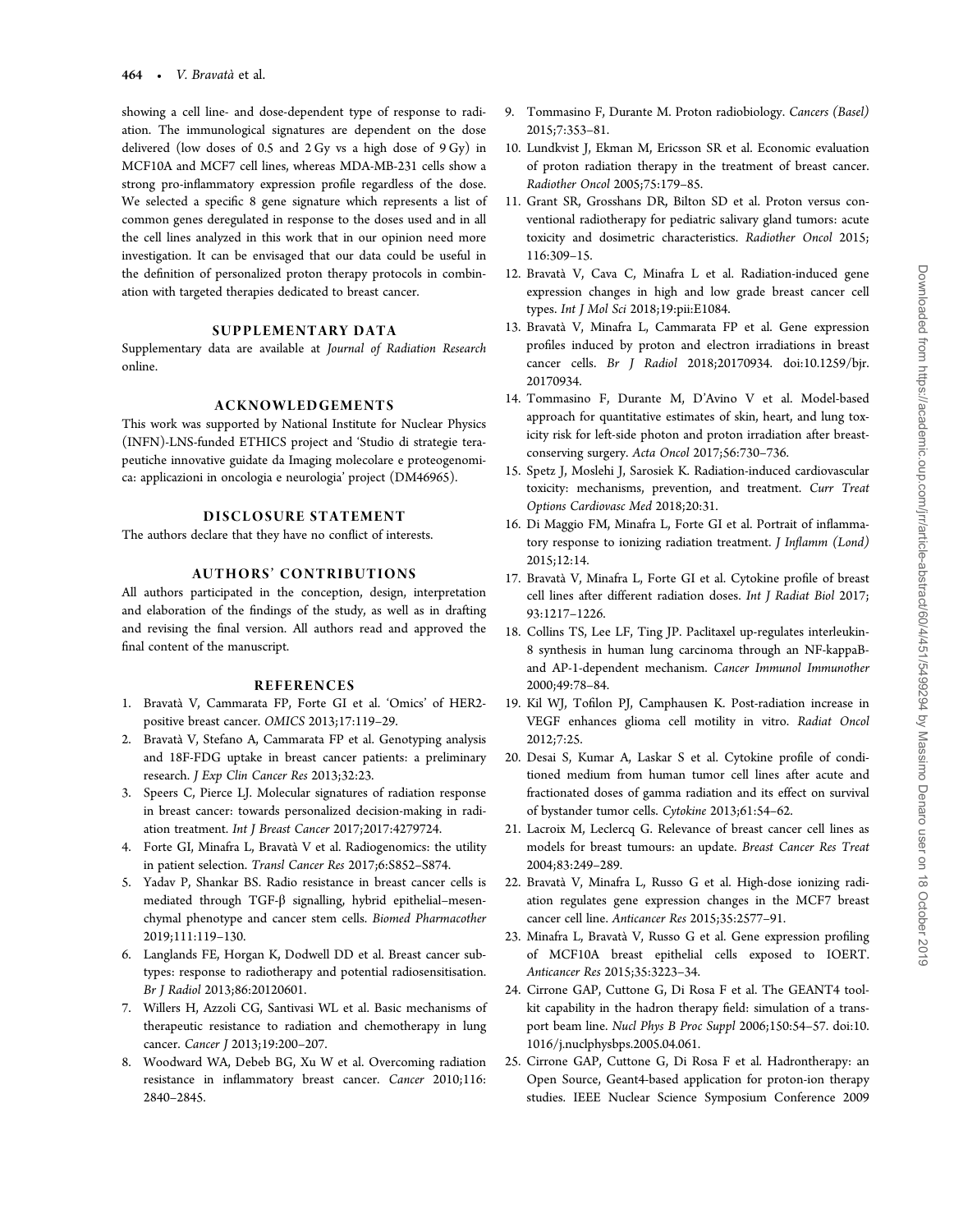<span id="page-13-0"></span>showing a cell line- and dose-dependent type of response to radiation. The immunological signatures are dependent on the dose delivered (low doses of 0.5 and 2 Gy vs a high dose of 9 Gy) in MCF10A and MCF7 cell lines, whereas MDA-MB-231 cells show a strong pro-inflammatory expression profile regardless of the dose. We selected a specific 8 gene signature which represents a list of common genes deregulated in response to the doses used and in all the cell lines analyzed in this work that in our opinion need more investigation. It can be envisaged that our data could be useful in the definition of personalized proton therapy protocols in combination with targeted therapies dedicated to breast cancer.

## SUPPLEMENTARY DATA

Supplementary data are available at Journal of Radiation Research online.

#### ACKNOWLEDGEMENTS

This work was supported by National Institute for Nuclear Physics (INFN)-LNS-funded ETHICS project and 'Studio di strategie terapeutiche innovative guidate da Imaging molecolare e proteogenomica: applicazioni in oncologia e neurologia' project (DM46965).

## DISCLOSURE STATEMENT

The authors declare that they have no conflict of interests.

#### AUTHORS' CONTRIBUTIONS

All authors participated in the conception, design, interpretation and elaboration of the findings of the study, as well as in drafting and revising the final version. All authors read and approved the final content of the manuscript.

#### REFERENCES

- 1. Bravatà V, Cammarata FP, Forte GI et al. 'Omics' of HER2 positive breast cancer. OMICS 2013;17:119–29.
- 2. Bravatà V, Stefano A, Cammarata FP et al. Genotyping analysis and 18F-FDG uptake in breast cancer patients: a preliminary research. J Exp Clin Cancer Res 2013;32:23.
- 3. Speers C, Pierce LJ. Molecular signatures of radiation response in breast cancer: towards personalized decision-making in radiation treatment. Int J Breast Cancer 2017;2017:4279724.
- 4. Forte GI, Minafra L, Bravatà V et al. Radiogenomics: the utility in patient selection. Transl Cancer Res 2017;6:S852–S874.
- 5. Yadav P, Shankar BS. Radio resistance in breast cancer cells is mediated through TGF-β signalling, hybrid epithelial–mesenchymal phenotype and cancer stem cells. Biomed Pharmacother 2019;111:119–130.
- 6. Langlands FE, Horgan K, Dodwell DD et al. Breast cancer subtypes: response to radiotherapy and potential radiosensitisation. Br J Radiol 2013;86:20120601.
- 7. Willers H, Azzoli CG, Santivasi WL et al. Basic mechanisms of therapeutic resistance to radiation and chemotherapy in lung cancer. Cancer J 2013;19:200-207.
- 8. Woodward WA, Debeb BG, Xu W et al. Overcoming radiation resistance in inflammatory breast cancer. Cancer 2010;116: 2840–2845.
- 9. Tommasino F, Durante M. Proton radiobiology. Cancers (Basel) 2015;7:353–81.
- 10. Lundkvist J, Ekman M, Ericsson SR et al. Economic evaluation of proton radiation therapy in the treatment of breast cancer. Radiother Oncol 2005;75:179–85.
- 11. Grant SR, Grosshans DR, Bilton SD et al. Proton versus conventional radiotherapy for pediatric salivary gland tumors: acute toxicity and dosimetric characteristics. Radiother Oncol 2015; 116:309–15.
- 12. Bravatà V, Cava C, Minafra L et al. Radiation-induced gene expression changes in high and low grade breast cancer cell types. Int J Mol Sci 2018;19:pii:E1084.
- 13. Bravatà V, Minafra L, Cammarata FP et al. Gene expression profiles induced by proton and electron irradiations in breast cancer cells. Br J Radiol 2018;20170934. [doi:10.1259/bjr.](http://dx.doi.org/10.1259/bjr.20170934) [20170934.](http://dx.doi.org/10.1259/bjr.20170934)
- 14. Tommasino F, Durante M, D'Avino V et al. Model-based approach for quantitative estimates of skin, heart, and lung toxicity risk for left-side photon and proton irradiation after breastconserving surgery. Acta Oncol 2017;56:730–736.
- 15. Spetz J, Moslehi J, Sarosiek K. Radiation-induced cardiovascular toxicity: mechanisms, prevention, and treatment. Curr Treat Options Cardiovasc Med 2018;20:31.
- 16. Di Maggio FM, Minafra L, Forte GI et al. Portrait of inflammatory response to ionizing radiation treatment. J Inflamm (Lond) 2015;12:14.
- 17. Bravatà V, Minafra L, Forte GI et al. Cytokine profile of breast cell lines after different radiation doses. Int J Radiat Biol 2017; 93:1217–1226.
- 18. Collins TS, Lee LF, Ting JP. Paclitaxel up-regulates interleukin-8 synthesis in human lung carcinoma through an NF-kappaBand AP-1-dependent mechanism. Cancer Immunol Immunother 2000;49:78–84.
- 19. Kil WJ, Tofilon PJ, Camphausen K. Post-radiation increase in VEGF enhances glioma cell motility in vitro. Radiat Oncol 2012;7:25.
- 20. Desai S, Kumar A, Laskar S et al. Cytokine profile of conditioned medium from human tumor cell lines after acute and fractionated doses of gamma radiation and its effect on survival of bystander tumor cells. Cytokine 2013;61:54–62.
- 21. Lacroix M, Leclercq G. Relevance of breast cancer cell lines as models for breast tumours: an update. Breast Cancer Res Treat 2004;83:249–289.
- 22. Bravatà V, Minafra L, Russo G et al. High-dose ionizing radiation regulates gene expression changes in the MCF7 breast cancer cell line. Anticancer Res 2015;35:2577–91.
- 23. Minafra L, Bravatà V, Russo G et al. Gene expression profiling of MCF10A breast epithelial cells exposed to IOERT. Anticancer Res 2015;35:3223–34.
- 24. Cirrone GAP, Cuttone G, Di Rosa F et al. The GEANT4 toolkit capability in the hadron therapy field: simulation of a transport beam line. Nucl Phys B Proc Suppl 2006;150:54–57. [doi:10.](http://dx.doi.org/10.1016/j.nuclphysbps.2005.04.061) [1016/j.nuclphysbps.2005.04.061](http://dx.doi.org/10.1016/j.nuclphysbps.2005.04.061).
- 25. Cirrone GAP, Cuttone G, Di Rosa F et al. Hadrontherapy: an Open Source, Geant4-based application for proton-ion therapy studies. IEEE Nuclear Science Symposium Conference 2009